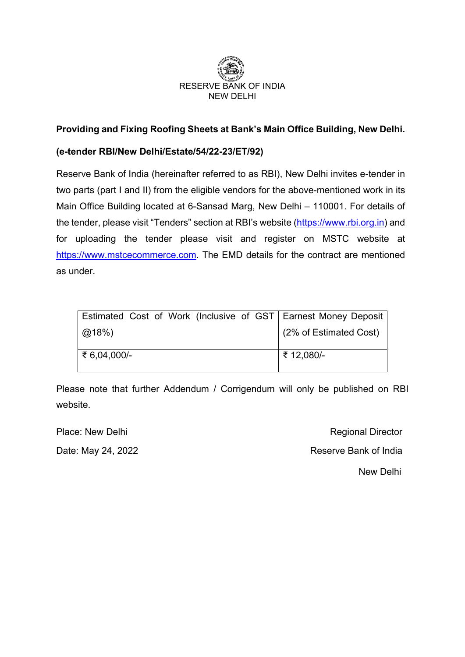

### **Providing and Fixing Roofing Sheets at Bank's Main Office Building, New Delhi.**

### **(e-tender RBI/New Delhi/Estate/54/22-23/ET/92)**

Reserve Bank of India (hereinafter referred to as RBI), New Delhi invites e-tender in two parts (part I and II) from the eligible vendors for the above-mentioned work in its Main Office Building located at 6-Sansad Marg, New Delhi – 110001. For details of the tender, please visit "Tenders" section at RBI's website [\(https://www.rbi.org.in\)](https://www.rbi.org.in/) and for uploading the tender please visit and register on MSTC website at [https://www.mstcecommerce.com.](https://www.mstcecommerce.com/) The EMD details for the contract are mentioned as under.

|              |  |  |  | Estimated Cost of Work (Inclusive of GST   Earnest Money Deposit |
|--------------|--|--|--|------------------------------------------------------------------|
| $@18\%$      |  |  |  | (2% of Estimated Cost)                                           |
| ₹ 6,04,000/- |  |  |  | ₹ 12,080/-                                                       |

Please note that further Addendum / Corrigendum will only be published on RBI website.

Place: New Delhi Regional Director Date: May 24, 2022 **Reserve Bank of India** New Delhi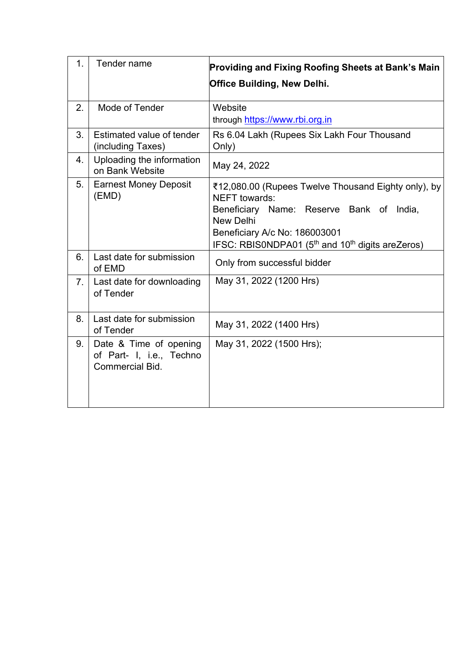| 1.<br>Tender name |                                                                              | Providing and Fixing Roofing Sheets at Bank's Main<br><b>Office Building, New Delhi.</b>                                                                                                                                                          |  |  |
|-------------------|------------------------------------------------------------------------------|---------------------------------------------------------------------------------------------------------------------------------------------------------------------------------------------------------------------------------------------------|--|--|
| 2.                | Mode of Tender                                                               | Website<br>through https://www.rbi.org.in                                                                                                                                                                                                         |  |  |
| 3.                | Estimated value of tender<br>(including Taxes)                               | Rs 6.04 Lakh (Rupees Six Lakh Four Thousand<br>Only)                                                                                                                                                                                              |  |  |
| 4.                | Uploading the information<br>on Bank Website                                 | May 24, 2022                                                                                                                                                                                                                                      |  |  |
| 5.                | <b>Earnest Money Deposit</b><br>(EMD)                                        | ₹12,080.00 (Rupees Twelve Thousand Eighty only), by<br>NEFT towards:<br>Beneficiary Name: Reserve Bank of India,<br><b>New Delhi</b><br>Beneficiary A/c No: 186003001<br>IFSC: RBIS0NDPA01 (5 <sup>th</sup> and 10 <sup>th</sup> digits areZeros) |  |  |
| 6.                | Last date for submission<br>of EMD                                           | Only from successful bidder                                                                                                                                                                                                                       |  |  |
| 7.                | Last date for downloading<br>of Tender                                       | May 31, 2022 (1200 Hrs)                                                                                                                                                                                                                           |  |  |
| 8.                | Last date for submission<br>of Tender                                        | May 31, 2022 (1400 Hrs)                                                                                                                                                                                                                           |  |  |
| 9.                | Date & Time of opening<br>of Part- I, i.e., Techno<br><b>Commercial Bid.</b> | May 31, 2022 (1500 Hrs);                                                                                                                                                                                                                          |  |  |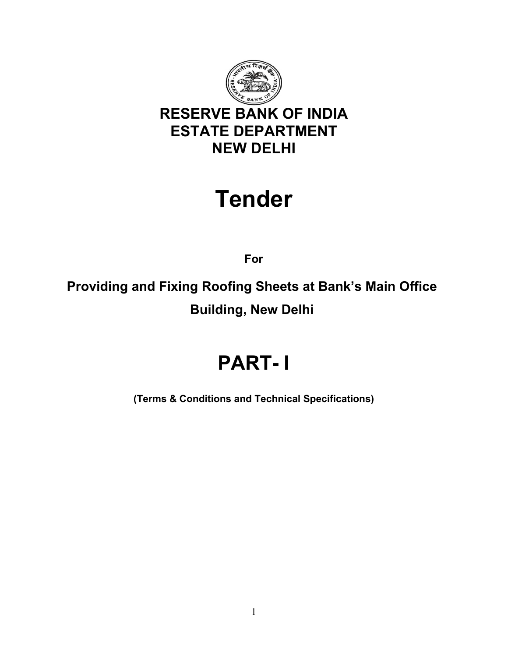

# **Tender**

**For**

**Providing and Fixing Roofing Sheets at Bank's Main Office Building, New Delhi**

# **PART- I**

**(Terms & Conditions and Technical Specifications)**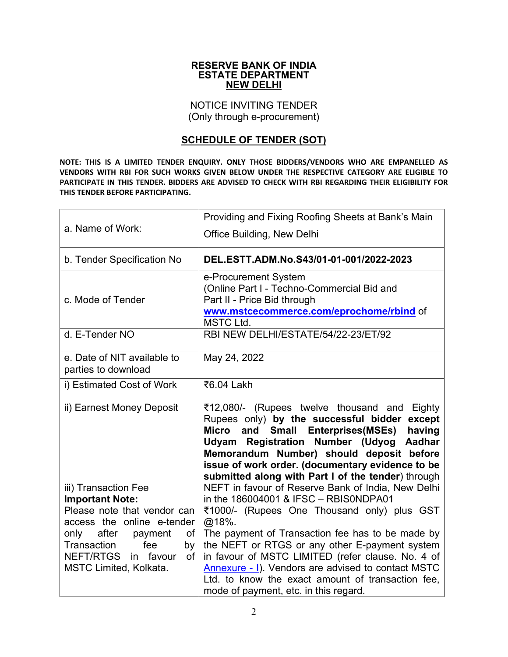#### **RESERVE BANK OF INDIA ESTATE DEPARTMENT NEW DELHI**

NOTICE INVITING TENDER (Only through e-procurement)

### **SCHEDULE OF TENDER (SOT)**

**NOTE: THIS IS A LIMITED TENDER ENQUIRY. ONLY THOSE BIDDERS/VENDORS WHO ARE EMPANELLED AS VENDORS WITH RBI FOR SUCH WORKS GIVEN BELOW UNDER THE RESPECTIVE CATEGORY ARE ELIGIBLE TO PARTICIPATE IN THIS TENDER. BIDDERS ARE ADVISED TO CHECK WITH RBI REGARDING THEIR ELIGIBILITY FOR THIS TENDER BEFORE PARTICIPATING.**

| a. Name of Work:                                              | Providing and Fixing Roofing Sheets at Bank's Main<br>Office Building, New Delhi                                                                                                                                                                                                                                                                                     |
|---------------------------------------------------------------|----------------------------------------------------------------------------------------------------------------------------------------------------------------------------------------------------------------------------------------------------------------------------------------------------------------------------------------------------------------------|
| b. Tender Specification No                                    | DEL.ESTT.ADM.No.S43/01-01-001/2022-2023                                                                                                                                                                                                                                                                                                                              |
| c. Mode of Tender                                             | e-Procurement System<br>(Online Part I - Techno-Commercial Bid and<br>Part II - Price Bid through<br>www.mstcecommerce.com/eprochome/rbind of<br><b>MSTC Ltd.</b>                                                                                                                                                                                                    |
| d. E-Tender NO                                                | RBI NEW DELHI/ESTATE/54/22-23/ET/92                                                                                                                                                                                                                                                                                                                                  |
| e. Date of NIT available to<br>parties to download            | May 24, 2022                                                                                                                                                                                                                                                                                                                                                         |
| i) Estimated Cost of Work                                     | ₹6.04 Lakh                                                                                                                                                                                                                                                                                                                                                           |
| ii) Earnest Money Deposit                                     | ₹12,080/- (Rupees twelve thousand and Eighty<br>Rupees only) by the successful bidder<br>except<br><b>Micro</b><br><b>Small Enterprises (MSEs)</b><br>having<br>and<br>Udyam Registration Number (Udyog Aadhar<br>Memorandum Number) should deposit before<br>issue of work order. (documentary evidence to be<br>submitted along with Part I of the tender) through |
| iii) Transaction Fee<br><b>Important Note:</b>                | NEFT in favour of Reserve Bank of India, New Delhi<br>in the 186004001 & IFSC - RBIS0NDPA01                                                                                                                                                                                                                                                                          |
| Please note that vendor can<br>access the online e-tender     | ₹1000/- (Rupees One Thousand only) plus GST<br>@18%.                                                                                                                                                                                                                                                                                                                 |
| only after<br>payment<br>of<br>Transaction<br>fee<br>by       | The payment of Transaction fee has to be made by<br>the NEFT or RTGS or any other E-payment system                                                                                                                                                                                                                                                                   |
| NEFT/RTGS<br>in favour<br>of<br><b>MSTC Limited, Kolkata.</b> | in favour of MSTC LIMITED (refer clause. No. 4 of<br>Annexure - I). Vendors are advised to contact MSTC<br>Ltd. to know the exact amount of transaction fee,<br>mode of payment, etc. in this regard.                                                                                                                                                                |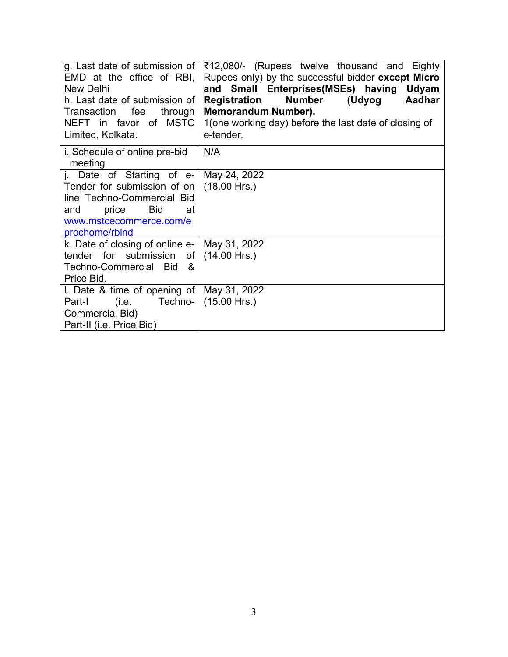| g. Last date of submission of<br>EMD at the office of RBI,<br>New Delhi<br>h. Last date of submission of<br>through<br>Transaction fee<br>NEFT in favor of MSTC<br>Limited, Kolkata. | ₹12,080/- (Rupees twelve thousand and Eighty<br>Rupees only) by the successful bidder except Micro<br>and Small Enterprises(MSEs) having Udyam<br><b>Number</b><br>(Udyog<br>Aadhar<br>Registration<br><b>Memorandum Number).</b><br>1(one working day) before the last date of closing of<br>e-tender. |
|--------------------------------------------------------------------------------------------------------------------------------------------------------------------------------------|---------------------------------------------------------------------------------------------------------------------------------------------------------------------------------------------------------------------------------------------------------------------------------------------------------|
| i. Schedule of online pre-bid<br>meeting                                                                                                                                             | N/A                                                                                                                                                                                                                                                                                                     |
| j. Date of Starting of $e$ -<br>Tender for submission of on<br>line Techno-Commercial Bid<br><b>Bid</b><br>price<br>and<br>at<br>www.mstcecommerce.com/e<br>prochome/rbind           | May 24, 2022<br>$(18.00$ Hrs.)                                                                                                                                                                                                                                                                          |
| k. Date of closing of online e-  <br>tender for submission of<br>Techno-Commercial Bid<br>- &<br>Price Bid.                                                                          | May 31, 2022<br>$(14.00$ Hrs.)                                                                                                                                                                                                                                                                          |
| I. Date & time of opening of   May 31, 2022<br>Techno-<br>(i.e.<br>Part-I<br>Commercial Bid)<br>Part-II (i.e. Price Bid)                                                             | $(15.00$ Hrs.)                                                                                                                                                                                                                                                                                          |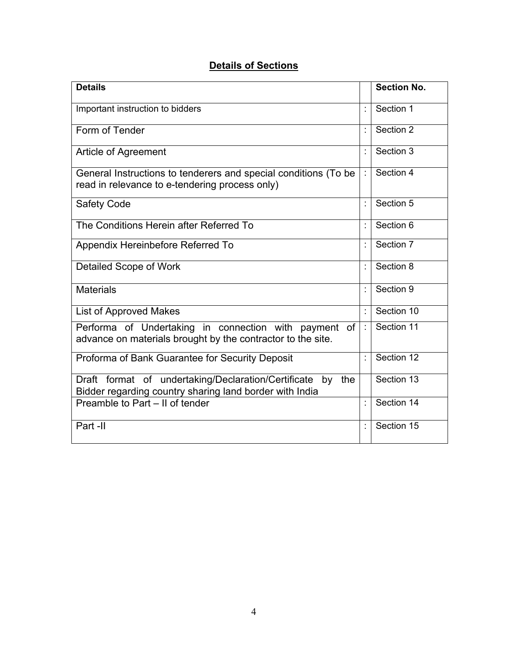# **Details of Sections**

| <b>Details</b>                                                                                                              |                      | <b>Section No.</b> |
|-----------------------------------------------------------------------------------------------------------------------------|----------------------|--------------------|
| Important instruction to bidders                                                                                            | t                    | Section 1          |
| Form of Tender                                                                                                              | t                    | Section 2          |
| Article of Agreement                                                                                                        | t                    | Section 3          |
| General Instructions to tenderers and special conditions (To be<br>read in relevance to e-tendering process only)           |                      | Section 4          |
| <b>Safety Code</b>                                                                                                          | ÷                    | Section 5          |
| The Conditions Herein after Referred To                                                                                     | t                    | Section 6          |
| Appendix Hereinbefore Referred To                                                                                           |                      | Section 7          |
| Detailed Scope of Work                                                                                                      | t                    | Section 8          |
| <b>Materials</b>                                                                                                            | t                    | Section 9          |
| <b>List of Approved Makes</b>                                                                                               |                      | Section 10         |
| Performa of Undertaking in connection with payment of<br>advance on materials brought by the contractor to the site.        | $\ddot{\phantom{a}}$ | Section 11         |
| Proforma of Bank Guarantee for Security Deposit                                                                             | ÷                    | Section 12         |
| Draft format of undertaking/Declaration/Certificate<br>the<br>by<br>Bidder regarding country sharing land border with India |                      | Section 13         |
| Preamble to Part - II of tender                                                                                             | t                    | Section 14         |
| Part -II                                                                                                                    |                      | Section 15         |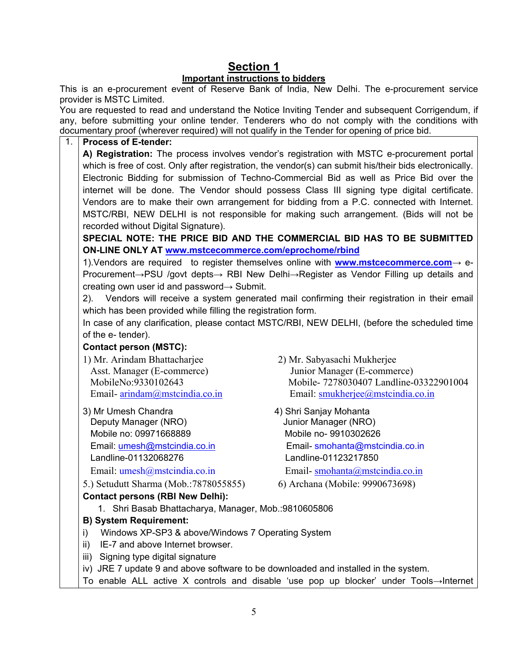# **Section 1**

#### **Important instructions to bidders**

This is an e-procurement event of Reserve Bank of India, New Delhi. The e-procurement service provider is MSTC Limited.

You are requested to read and understand the Notice Inviting Tender and subsequent Corrigendum, if any, before submitting your online tender. Tenderers who do not comply with the conditions with documentary proof (wherever required) will not qualify in the Tender for opening of price bid.

#### 1. **Process of E-tender:**

**A) Registration:** The process involves vendor's registration with MSTC e-procurement portal which is free of cost. Only after registration, the vendor(s) can submit his/their bids electronically. Electronic Bidding for submission of Techno-Commercial Bid as well as Price Bid over the internet will be done. The Vendor should possess Class III signing type digital certificate. Vendors are to make their own arrangement for bidding from a P.C. connected with Internet. MSTC/RBI, NEW DELHI is not responsible for making such arrangement. (Bids will not be recorded without Digital Signature).

**SPECIAL NOTE: THE PRICE BID AND THE COMMERCIAL BID HAS TO BE SUBMITTED ON-LINE ONLY AT [www.mstcecommerce.com/eprochome/rbind](https://www.mstcecommerce.com/eprochome/rbind)**

1).Vendors are required to register themselves online with **[www.mstcecommerce.com](https://www.mstcecommerce.com/)**→ e-Procurement→PSU /govt depts→ RBI New Delhi→Register as Vendor Filling up details and creating own user id and password $\rightarrow$  Submit.

2). Vendors will receive a system generated mail confirming their registration in their email which has been provided while filling the registration form.

In case of any clarification, please contact MSTC/RBI, NEW DELHI, (before the scheduled time of the e- tender).

#### **Contact person (MSTC):**

1) Mr. Arindam Bhattacharjee 2) Mr. Sabyasachi Mukherjee

 Deputy Manager (NRO) Junior Manager (NRO) Mobile no: 09971668889 Mobile no- 9910302626 Landline-01132068276 Landline-01123217850

5.) Setudutt Sharma (Mob.:7878055855) 6) Archana (Mobile: 9990673698)

### **Contact persons (RBI New Delhi):**

 Asst. Manager (E-commerce) Junior Manager (E-commerce) MobileNo:9330102643 Mobile- 7278030407 Landline-03322901004 Email- <u>[arindam@mstcindia.co.in](mailto:arindam@mstcindia.co.in)</u><br>
3) Mr Umesh Chandra (3) Mr Umesh Chandra (3) Mr Umesh Chandra (3) Mr Umesh Chandra (3) Mr Umesh Chandra (3) Mr Umesh Chandra (3) Mr Umesh Chandra (3) Mr Umesh Chandra (3) Mr Umesh Chandra

- 4) Shri Sanjay Mohanta Email: [umesh@mstcindia.co.in](mailto:umesh@mstcindia.co.in) Email- [smohanta@mstcindia.co.in](mailto:smohanta@mstcindia.co.in) Email: [umesh@mstcindia.co.in](mailto:umesh@mstcindia.co.in) Email- [smohanta@mstcindia.co.in](mailto:smohanta@mstcindia.co.in)
	-
	- 1. Shri Basab Bhattacharya, Manager, Mob.:9810605806

#### **B) System Requirement:**

- i) Windows XP-SP3 & above/Windows 7 Operating System
- ii) IE-7 and above Internet browser.
- iii) Signing type digital signature
- iv) JRE 7 update 9 and above software to be downloaded and installed in the system.
- To enable ALL active X controls and disable 'use pop up blocker' under Tools→Internet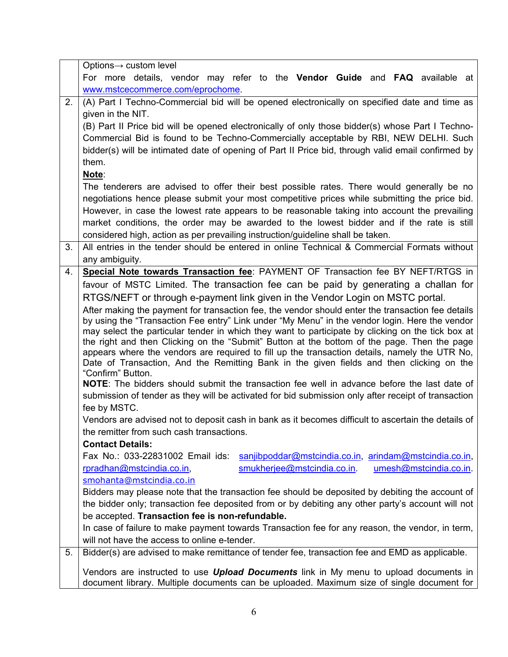|    | Options $\rightarrow$ custom level                                                                                                                                                           |  |  |  |  |
|----|----------------------------------------------------------------------------------------------------------------------------------------------------------------------------------------------|--|--|--|--|
|    | For more details, vendor may refer to the <b>Vendor Guide</b> and <b>FAQ</b> available at                                                                                                    |  |  |  |  |
|    | www.mstcecommerce.com/eprochome.                                                                                                                                                             |  |  |  |  |
| 2. | (A) Part I Techno-Commercial bid will be opened electronically on specified date and time as                                                                                                 |  |  |  |  |
|    | given in the NIT.                                                                                                                                                                            |  |  |  |  |
|    | (B) Part II Price bid will be opened electronically of only those bidder(s) whose Part I Techno-                                                                                             |  |  |  |  |
|    | Commercial Bid is found to be Techno-Commercially acceptable by RBI, NEW DELHI. Such                                                                                                         |  |  |  |  |
|    | bidder(s) will be intimated date of opening of Part II Price bid, through valid email confirmed by                                                                                           |  |  |  |  |
|    | them.                                                                                                                                                                                        |  |  |  |  |
|    | Note:                                                                                                                                                                                        |  |  |  |  |
|    | The tenderers are advised to offer their best possible rates. There would generally be no                                                                                                    |  |  |  |  |
|    | negotiations hence please submit your most competitive prices while submitting the price bid.                                                                                                |  |  |  |  |
|    | However, in case the lowest rate appears to be reasonable taking into account the prevailing                                                                                                 |  |  |  |  |
|    | market conditions, the order may be awarded to the lowest bidder and if the rate is still                                                                                                    |  |  |  |  |
|    | considered high, action as per prevailing instruction/guideline shall be taken.                                                                                                              |  |  |  |  |
| 3. | All entries in the tender should be entered in online Technical & Commercial Formats without                                                                                                 |  |  |  |  |
|    | any ambiguity.                                                                                                                                                                               |  |  |  |  |
| 4. | Special Note towards Transaction fee: PAYMENT OF Transaction fee BY NEFT/RTGS in                                                                                                             |  |  |  |  |
|    | favour of MSTC Limited. The transaction fee can be paid by generating a challan for                                                                                                          |  |  |  |  |
|    | RTGS/NEFT or through e-payment link given in the Vendor Login on MSTC portal.                                                                                                                |  |  |  |  |
|    | After making the payment for transaction fee, the vendor should enter the transaction fee details                                                                                            |  |  |  |  |
|    | by using the "Transaction Fee entry" Link under "My Menu" in the vendor login. Here the vendor                                                                                               |  |  |  |  |
|    | may select the particular tender in which they want to participate by clicking on the tick box at                                                                                            |  |  |  |  |
|    | the right and then Clicking on the "Submit" Button at the bottom of the page. Then the page<br>appears where the vendors are required to fill up the transaction details, namely the UTR No, |  |  |  |  |
|    | Date of Transaction, And the Remitting Bank in the given fields and then clicking on the                                                                                                     |  |  |  |  |
|    | "Confirm" Button.                                                                                                                                                                            |  |  |  |  |
|    | NOTE: The bidders should submit the transaction fee well in advance before the last date of                                                                                                  |  |  |  |  |
|    | submission of tender as they will be activated for bid submission only after receipt of transaction                                                                                          |  |  |  |  |
|    | fee by MSTC.                                                                                                                                                                                 |  |  |  |  |
|    | Vendors are advised not to deposit cash in bank as it becomes difficult to ascertain the details of                                                                                          |  |  |  |  |
|    | the remitter from such cash transactions.                                                                                                                                                    |  |  |  |  |
|    | <b>Contact Details:</b>                                                                                                                                                                      |  |  |  |  |
|    | Fax No.: 033-22831002 Email ids:<br>sanjibpoddar@mstcindia.co.in, arindam@mstcindia.co.in,                                                                                                   |  |  |  |  |
|    | smukherjee@mstcindia.co.in.<br>rpradhan@mstcindia.co.in,<br>umesh@mstcindia.co.in.                                                                                                           |  |  |  |  |
|    | smohanta@mstcindia.co.in                                                                                                                                                                     |  |  |  |  |
|    | Bidders may please note that the transaction fee should be deposited by debiting the account of                                                                                              |  |  |  |  |
|    | the bidder only; transaction fee deposited from or by debiting any other party's account will not                                                                                            |  |  |  |  |
|    | be accepted. Transaction fee is non-refundable.                                                                                                                                              |  |  |  |  |
|    | In case of failure to make payment towards Transaction fee for any reason, the vendor, in term,                                                                                              |  |  |  |  |
|    | will not have the access to online e-tender.                                                                                                                                                 |  |  |  |  |
| 5. | Bidder(s) are advised to make remittance of tender fee, transaction fee and EMD as applicable.                                                                                               |  |  |  |  |
|    | Vendors are instructed to use <i>Upload Documents</i> link in My menu to upload documents in                                                                                                 |  |  |  |  |
|    | document library. Multiple documents can be uploaded. Maximum size of single document for                                                                                                    |  |  |  |  |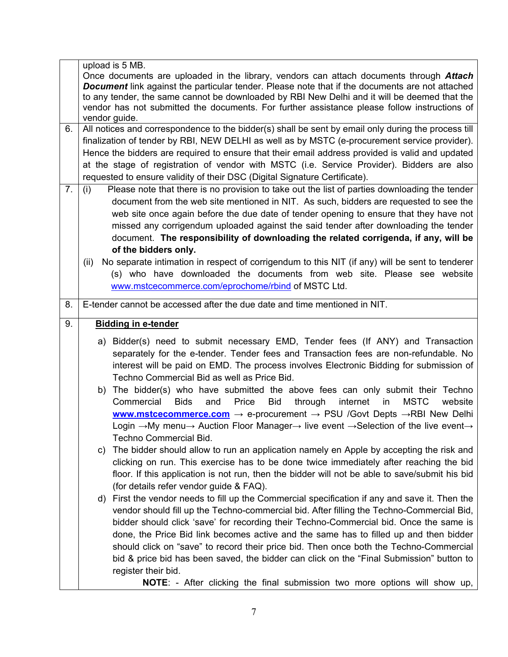|    | upload is 5 MB.                                                                                                                                  |  |  |  |
|----|--------------------------------------------------------------------------------------------------------------------------------------------------|--|--|--|
|    | Once documents are uploaded in the library, vendors can attach documents through <b>Attach</b>                                                   |  |  |  |
|    | <b>Document</b> link against the particular tender. Please note that if the documents are not attached                                           |  |  |  |
|    | to any tender, the same cannot be downloaded by RBI New Delhi and it will be deemed that the                                                     |  |  |  |
|    | vendor has not submitted the documents. For further assistance please follow instructions of                                                     |  |  |  |
|    | vendor guide.                                                                                                                                    |  |  |  |
| 6. | All notices and correspondence to the bidder(s) shall be sent by email only during the process till                                              |  |  |  |
|    | finalization of tender by RBI, NEW DELHI as well as by MSTC (e-procurement service provider).                                                    |  |  |  |
|    | Hence the bidders are required to ensure that their email address provided is valid and updated                                                  |  |  |  |
|    | at the stage of registration of vendor with MSTC (i.e. Service Provider). Bidders are also                                                       |  |  |  |
|    | requested to ensure validity of their DSC (Digital Signature Certificate).                                                                       |  |  |  |
| 7. | (i)<br>Please note that there is no provision to take out the list of parties downloading the tender                                             |  |  |  |
|    | document from the web site mentioned in NIT. As such, bidders are requested to see the                                                           |  |  |  |
|    | web site once again before the due date of tender opening to ensure that they have not                                                           |  |  |  |
|    |                                                                                                                                                  |  |  |  |
|    | missed any corrigendum uploaded against the said tender after downloading the tender                                                             |  |  |  |
|    | document. The responsibility of downloading the related corrigenda, if any, will be                                                              |  |  |  |
|    | of the bidders only.                                                                                                                             |  |  |  |
|    | No separate intimation in respect of corrigendum to this NIT (if any) will be sent to tenderer<br>(ii)                                           |  |  |  |
|    | (s) who have downloaded the documents from web site. Please see website                                                                          |  |  |  |
|    | www.mstcecommerce.com/eprochome/rbind of MSTC Ltd.                                                                                               |  |  |  |
|    |                                                                                                                                                  |  |  |  |
| 8. | E-tender cannot be accessed after the due date and time mentioned in NIT.                                                                        |  |  |  |
| 9. | <b>Bidding in e-tender</b>                                                                                                                       |  |  |  |
|    |                                                                                                                                                  |  |  |  |
|    | a) Bidder(s) need to submit necessary EMD, Tender fees (If ANY) and Transaction                                                                  |  |  |  |
|    | separately for the e-tender. Tender fees and Transaction fees are non-refundable. No                                                             |  |  |  |
|    | interest will be paid on EMD. The process involves Electronic Bidding for submission of                                                          |  |  |  |
|    | Techno Commercial Bid as well as Price Bid.                                                                                                      |  |  |  |
|    | b) The bidder(s) who have submitted the above fees can only submit their Techno                                                                  |  |  |  |
|    | Commercial<br><b>Bids</b><br><b>Bid</b><br>internet<br><b>MSTC</b><br>website<br>and<br>Price<br>through<br>in                                   |  |  |  |
|    | <b>www.mstcecommerce.com</b> $\rightarrow$ e-procurement $\rightarrow$ PSU /Govt Depts $\rightarrow$ RBI New Delhi                               |  |  |  |
|    | Login $\rightarrow$ My menu $\rightarrow$ Auction Floor Manager $\rightarrow$ live event $\rightarrow$ Selection of the live event $\rightarrow$ |  |  |  |
|    | Techno Commercial Bid.                                                                                                                           |  |  |  |
|    | The bidder should allow to run an application namely en Apple by accepting the risk and<br>C)                                                    |  |  |  |
|    | clicking on run. This exercise has to be done twice immediately after reaching the bid                                                           |  |  |  |
|    |                                                                                                                                                  |  |  |  |
|    | floor. If this application is not run, then the bidder will not be able to save/submit his bid                                                   |  |  |  |
|    | (for details refer vendor guide & FAQ).                                                                                                          |  |  |  |
|    | d) First the vendor needs to fill up the Commercial specification if any and save it. Then the                                                   |  |  |  |
|    | vendor should fill up the Techno-commercial bid. After filling the Techno-Commercial Bid,                                                        |  |  |  |
|    | bidder should click 'save' for recording their Techno-Commercial bid. Once the same is                                                           |  |  |  |
|    | done, the Price Bid link becomes active and the same has to filled up and then bidder                                                            |  |  |  |
|    | should click on "save" to record their price bid. Then once both the Techno-Commercial                                                           |  |  |  |
|    | bid & price bid has been saved, the bidder can click on the "Final Submission" button to                                                         |  |  |  |
|    | register their bid.                                                                                                                              |  |  |  |
|    |                                                                                                                                                  |  |  |  |
|    | NOTE: - After clicking the final submission two more options will show up,                                                                       |  |  |  |

7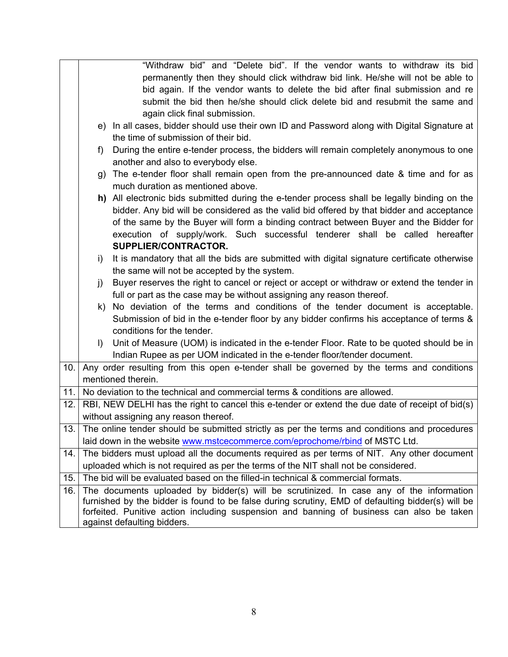|     |         | "Withdraw bid" and "Delete bid". If the vendor wants to withdraw its bid                          |
|-----|---------|---------------------------------------------------------------------------------------------------|
|     |         | permanently then they should click withdraw bid link. He/she will not be able to                  |
|     |         | bid again. If the vendor wants to delete the bid after final submission and re                    |
|     |         | submit the bid then he/she should click delete bid and resubmit the same and                      |
|     |         | again click final submission.                                                                     |
|     |         | e) In all cases, bidder should use their own ID and Password along with Digital Signature at      |
|     |         | the time of submission of their bid.                                                              |
|     | f)      | During the entire e-tender process, the bidders will remain completely anonymous to one           |
|     |         | another and also to everybody else.                                                               |
|     |         | g) The e-tender floor shall remain open from the pre-announced date & time and for as             |
|     |         | much duration as mentioned above.                                                                 |
|     |         | h) All electronic bids submitted during the e-tender process shall be legally binding on the      |
|     |         | bidder. Any bid will be considered as the valid bid offered by that bidder and acceptance         |
|     |         | of the same by the Buyer will form a binding contract between Buyer and the Bidder for            |
|     |         | execution of supply/work. Such successful tenderer shall be called hereafter                      |
|     |         | SUPPLIER/CONTRACTOR.                                                                              |
|     | i)      | It is mandatory that all the bids are submitted with digital signature certificate otherwise      |
|     |         | the same will not be accepted by the system.                                                      |
|     | j)      | Buyer reserves the right to cancel or reject or accept or withdraw or extend the tender in        |
|     |         | full or part as the case may be without assigning any reason thereof.                             |
|     |         | k) No deviation of the terms and conditions of the tender document is acceptable.                 |
|     |         | Submission of bid in the e-tender floor by any bidder confirms his acceptance of terms &          |
|     |         | conditions for the tender.                                                                        |
|     | $\vert$ | Unit of Measure (UOM) is indicated in the e-tender Floor. Rate to be quoted should be in          |
|     |         | Indian Rupee as per UOM indicated in the e-tender floor/tender document.                          |
| 10. |         | Any order resulting from this open e-tender shall be governed by the terms and conditions         |
|     |         | mentioned therein.                                                                                |
| 11. |         | No deviation to the technical and commercial terms & conditions are allowed.                      |
| 12. |         | RBI, NEW DELHI has the right to cancel this e-tender or extend the due date of receipt of bid(s)  |
|     |         | without assigning any reason thereof.                                                             |
|     |         | 13. The online tender should be submitted strictly as per the terms and conditions and procedures |
|     |         | laid down in the website www.mstcecommerce.com/eprochome/rbind of MSTC Ltd.                       |
| 14. |         | The bidders must upload all the documents required as per terms of NIT. Any other document        |
|     |         | uploaded which is not required as per the terms of the NIT shall not be considered.               |
| 15. |         | The bid will be evaluated based on the filled-in technical & commercial formats.                  |
| 16. |         | The documents uploaded by bidder(s) will be scrutinized. In case any of the information           |
|     |         | furnished by the bidder is found to be false during scrutiny, EMD of defaulting bidder(s) will be |
|     |         | forfeited. Punitive action including suspension and banning of business can also be taken         |
|     |         | against defaulting bidders.                                                                       |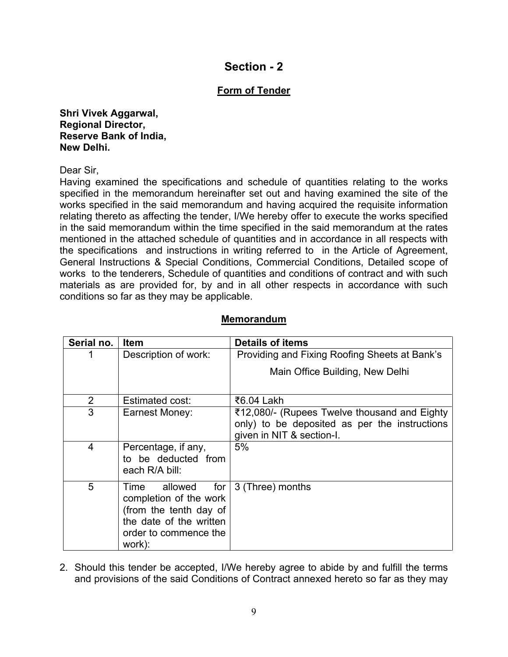# **Section - 2**

### **Form of Tender**

**Shri Vivek Aggarwal, Regional Director, Reserve Bank of India, New Delhi.**

Dear Sir,

Having examined the specifications and schedule of quantities relating to the works specified in the memorandum hereinafter set out and having examined the site of the works specified in the said memorandum and having acquired the requisite information relating thereto as affecting the tender, I/We hereby offer to execute the works specified in the said memorandum within the time specified in the said memorandum at the rates mentioned in the attached schedule of quantities and in accordance in all respects with the specifications and instructions in writing referred to in the Article of Agreement, General Instructions & Special Conditions, Commercial Conditions, Detailed scope of works to the tenderers, Schedule of quantities and conditions of contract and with such materials as are provided for, by and in all other respects in accordance with such conditions so far as they may be applicable.

# **Memorandum**

| Serial no.     | <b>Item</b>                                                                                                                                  | <b>Details of items</b>                                                                                                    |  |  |
|----------------|----------------------------------------------------------------------------------------------------------------------------------------------|----------------------------------------------------------------------------------------------------------------------------|--|--|
|                | Description of work:                                                                                                                         | Providing and Fixing Roofing Sheets at Bank's                                                                              |  |  |
|                |                                                                                                                                              | Main Office Building, New Delhi                                                                                            |  |  |
| $\overline{2}$ | Estimated cost:                                                                                                                              | ₹6.04 Lakh                                                                                                                 |  |  |
| 3              | Earnest Money:                                                                                                                               | ₹12,080/- (Rupees Twelve thousand and Eighty<br>only) to be deposited as per the instructions<br>given in NIT & section-I. |  |  |
| $\overline{4}$ | Percentage, if any,<br>to be deducted from<br>each R/A bill:                                                                                 | 5%                                                                                                                         |  |  |
| 5              | for $ $<br>allowed<br>Time<br>completion of the work<br>(from the tenth day of<br>the date of the written<br>order to commence the<br>work): | 3 (Three) months                                                                                                           |  |  |

2. Should this tender be accepted, I/We hereby agree to abide by and fulfill the terms and provisions of the said Conditions of Contract annexed hereto so far as they may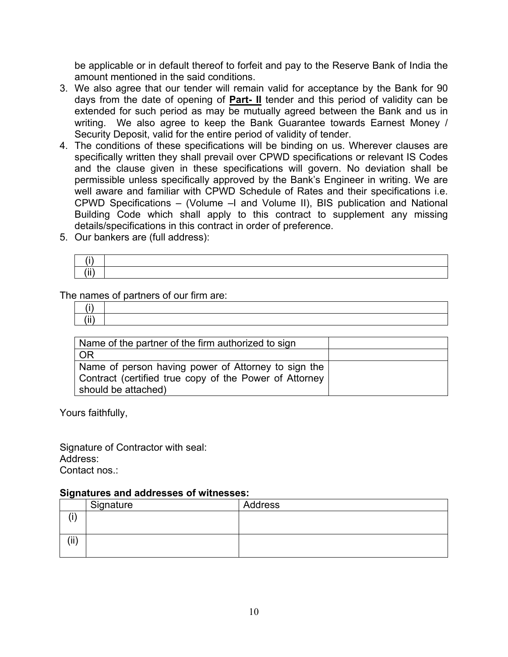be applicable or in default thereof to forfeit and pay to the Reserve Bank of India the amount mentioned in the said conditions.

- 3. We also agree that our tender will remain valid for acceptance by the Bank for 90 days from the date of opening of **Part- II** tender and this period of validity can be extended for such period as may be mutually agreed between the Bank and us in writing. We also agree to keep the Bank Guarantee towards Earnest Money / Security Deposit, valid for the entire period of validity of tender.
- 4. The conditions of these specifications will be binding on us. Wherever clauses are specifically written they shall prevail over CPWD specifications or relevant IS Codes and the clause given in these specifications will govern. No deviation shall be permissible unless specifically approved by the Bank's Engineer in writing. We are well aware and familiar with CPWD Schedule of Rates and their specifications i.e. CPWD Specifications – (Volume –I and Volume II), BIS publication and National Building Code which shall apply to this contract to supplement any missing details/specifications in this contract in order of preference.
- 5. Our bankers are (full address):

| $\sim$ $\sim$ $\sim$ |  |
|----------------------|--|
| 7: : 1               |  |

The names of partners of our firm are:

| $\cdots$ |  |
|----------|--|

| Name of the partner of the firm authorized to sign     |  |
|--------------------------------------------------------|--|
| <b>OR</b>                                              |  |
| Name of person having power of Attorney to sign the    |  |
| Contract (certified true copy of the Power of Attorney |  |
| should be attached)                                    |  |

Yours faithfully,

Signature of Contractor with seal: Address: Contact nos.:

#### **Signatures and addresses of witnesses:**

|          | Signature | Address |
|----------|-----------|---------|
| $\cdots$ |           |         |
|          |           |         |
| (iii)    |           |         |
|          |           |         |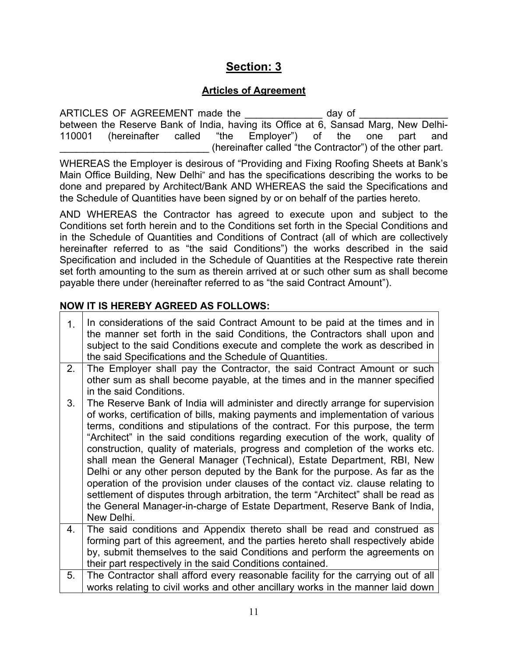# **Section: 3**

### **Articles of Agreement**

ARTICLES OF AGREEMENT made the day of between the Reserve Bank of India, having its Office at 6, Sansad Marg, New Delhi-110001 (hereinafter called "the Employer") of the one part and \_\_\_\_\_\_\_\_\_\_\_\_\_\_\_\_\_\_\_\_\_\_\_\_\_\_\_ (hereinafter called "the Contractor") of the other part.

WHEREAS the Employer is desirous of "Providing and Fixing Roofing Sheets at Bank's Main Office Building, New Delhi" and has the specifications describing the works to be done and prepared by Architect/Bank AND WHEREAS the said the Specifications and the Schedule of Quantities have been signed by or on behalf of the parties hereto.

AND WHEREAS the Contractor has agreed to execute upon and subject to the Conditions set forth herein and to the Conditions set forth in the Special Conditions and in the Schedule of Quantities and Conditions of Contract (all of which are collectively hereinafter referred to as "the said Conditions") the works described in the said Specification and included in the Schedule of Quantities at the Respective rate therein set forth amounting to the sum as therein arrived at or such other sum as shall become payable there under (hereinafter referred to as "the said Contract Amount").

### **NOW IT IS HEREBY AGREED AS FOLLOWS:**

| 1 <sub>1</sub> | In considerations of the said Contract Amount to be paid at the times and in<br>the manner set forth in the said Conditions, the Contractors shall upon and<br>subject to the said Conditions execute and complete the work as described in<br>the said Specifications and the Schedule of Quantities. |  |  |  |
|----------------|--------------------------------------------------------------------------------------------------------------------------------------------------------------------------------------------------------------------------------------------------------------------------------------------------------|--|--|--|
| 2.             | The Employer shall pay the Contractor, the said Contract Amount or such                                                                                                                                                                                                                                |  |  |  |
|                | other sum as shall become payable, at the times and in the manner specified                                                                                                                                                                                                                            |  |  |  |
|                | in the said Conditions.                                                                                                                                                                                                                                                                                |  |  |  |
| 3.             | The Reserve Bank of India will administer and directly arrange for supervision                                                                                                                                                                                                                         |  |  |  |
|                | of works, certification of bills, making payments and implementation of various                                                                                                                                                                                                                        |  |  |  |
|                | terms, conditions and stipulations of the contract. For this purpose, the term<br>"Architect" in the said conditions regarding execution of the work, quality of                                                                                                                                       |  |  |  |
|                | construction, quality of materials, progress and completion of the works etc.                                                                                                                                                                                                                          |  |  |  |
|                | shall mean the General Manager (Technical), Estate Department, RBI, New                                                                                                                                                                                                                                |  |  |  |
|                | Delhi or any other person deputed by the Bank for the purpose. As far as the                                                                                                                                                                                                                           |  |  |  |
|                | operation of the provision under clauses of the contact viz. clause relating to                                                                                                                                                                                                                        |  |  |  |
|                | settlement of disputes through arbitration, the term "Architect" shall be read as                                                                                                                                                                                                                      |  |  |  |
|                | the General Manager-in-charge of Estate Department, Reserve Bank of India,                                                                                                                                                                                                                             |  |  |  |
|                | New Delhi.                                                                                                                                                                                                                                                                                             |  |  |  |
| 4.             | The said conditions and Appendix thereto shall be read and construed as                                                                                                                                                                                                                                |  |  |  |
|                | forming part of this agreement, and the parties hereto shall respectively abide                                                                                                                                                                                                                        |  |  |  |
|                | by, submit themselves to the said Conditions and perform the agreements on                                                                                                                                                                                                                             |  |  |  |
|                | their part respectively in the said Conditions contained.                                                                                                                                                                                                                                              |  |  |  |
| 5.             | The Contractor shall afford every reasonable facility for the carrying out of all                                                                                                                                                                                                                      |  |  |  |
|                | works relating to civil works and other ancillary works in the manner laid down                                                                                                                                                                                                                        |  |  |  |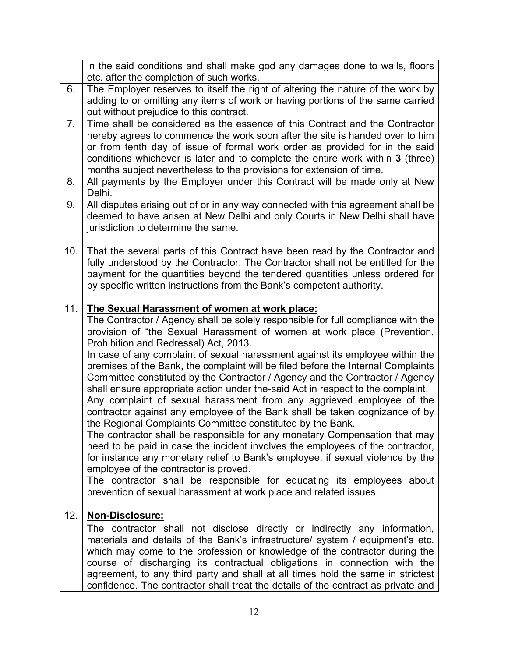|      | in the said conditions and shall make god any damages done to walls, floors<br>etc. after the completion of such works.                                                                                                                                                                                                                                                                                                                                                                                                                                                                                                                                                                                                                                                                                                                                                                                                                                                                                                                                                                                                                                                                                                                                      |  |  |
|------|--------------------------------------------------------------------------------------------------------------------------------------------------------------------------------------------------------------------------------------------------------------------------------------------------------------------------------------------------------------------------------------------------------------------------------------------------------------------------------------------------------------------------------------------------------------------------------------------------------------------------------------------------------------------------------------------------------------------------------------------------------------------------------------------------------------------------------------------------------------------------------------------------------------------------------------------------------------------------------------------------------------------------------------------------------------------------------------------------------------------------------------------------------------------------------------------------------------------------------------------------------------|--|--|
| 6.   | The Employer reserves to itself the right of altering the nature of the work by<br>adding to or omitting any items of work or having portions of the same carried<br>out without prejudice to this contract.                                                                                                                                                                                                                                                                                                                                                                                                                                                                                                                                                                                                                                                                                                                                                                                                                                                                                                                                                                                                                                                 |  |  |
| 7.   | Time shall be considered as the essence of this Contract and the Contractor<br>hereby agrees to commence the work soon after the site is handed over to him<br>or from tenth day of issue of formal work order as provided for in the said<br>conditions whichever is later and to complete the entire work within 3 (three)<br>months subject nevertheless to the provisions for extension of time.                                                                                                                                                                                                                                                                                                                                                                                                                                                                                                                                                                                                                                                                                                                                                                                                                                                         |  |  |
| 8.   | All payments by the Employer under this Contract will be made only at New<br>Delhi.                                                                                                                                                                                                                                                                                                                                                                                                                                                                                                                                                                                                                                                                                                                                                                                                                                                                                                                                                                                                                                                                                                                                                                          |  |  |
| 9.   | All disputes arising out of or in any way connected with this agreement shall be<br>deemed to have arisen at New Delhi and only Courts in New Delhi shall have<br>jurisdiction to determine the same.                                                                                                                                                                                                                                                                                                                                                                                                                                                                                                                                                                                                                                                                                                                                                                                                                                                                                                                                                                                                                                                        |  |  |
| 10.1 | That the several parts of this Contract have been read by the Contractor and<br>fully understood by the Contractor. The Contractor shall not be entitled for the<br>payment for the quantities beyond the tendered quantities unless ordered for<br>by specific written instructions from the Bank's competent authority.                                                                                                                                                                                                                                                                                                                                                                                                                                                                                                                                                                                                                                                                                                                                                                                                                                                                                                                                    |  |  |
| 11.  | The Sexual Harassment of women at work place:<br>The Contractor / Agency shall be solely responsible for full compliance with the<br>provision of "the Sexual Harassment of women at work place (Prevention,<br>Prohibition and Redressal) Act, 2013.<br>In case of any complaint of sexual harassment against its employee within the<br>premises of the Bank, the complaint will be filed before the Internal Complaints<br>Committee constituted by the Contractor / Agency and the Contractor / Agency<br>shall ensure appropriate action under the-said Act in respect to the complaint.<br>Any complaint of sexual harassment from any aggrieved employee of the<br>contractor against any employee of the Bank shall be taken cognizance of by<br>the Regional Complaints Committee constituted by the Bank.<br>The contractor shall be responsible for any monetary Compensation that may<br>need to be paid in case the incident involves the employees of the contractor,<br>for instance any monetary relief to Bank's employee, if sexual violence by the<br>employee of the contractor is proved.<br>The contractor shall be responsible for educating its employees about<br>prevention of sexual harassment at work place and related issues. |  |  |
| 12.  | Non-Disclosure:<br>The contractor shall not disclose directly or indirectly any information,<br>materials and details of the Bank's infrastructure/ system / equipment's etc.<br>which may come to the profession or knowledge of the contractor during the<br>course of discharging its contractual obligations in connection with the<br>agreement, to any third party and shall at all times hold the same in strictest<br>confidence. The contractor shall treat the details of the contract as private and                                                                                                                                                                                                                                                                                                                                                                                                                                                                                                                                                                                                                                                                                                                                              |  |  |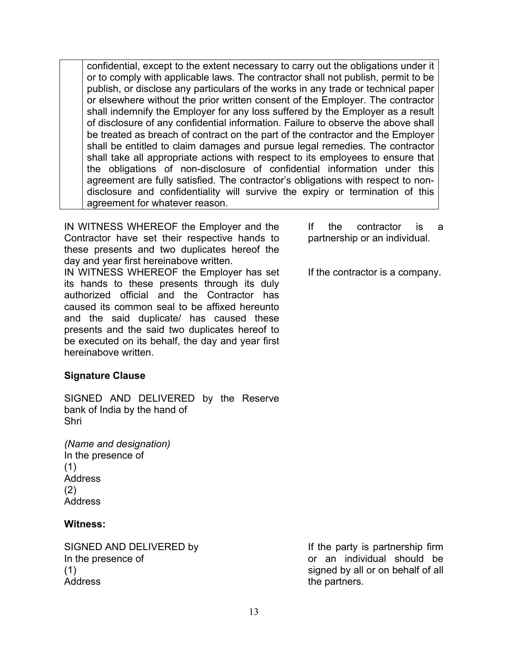confidential, except to the extent necessary to carry out the obligations under it or to comply with applicable laws. The contractor shall not publish, permit to be publish, or disclose any particulars of the works in any trade or technical paper or elsewhere without the prior written consent of the Employer. The contractor shall indemnify the Employer for any loss suffered by the Employer as a result of disclosure of any confidential information. Failure to observe the above shall be treated as breach of contract on the part of the contractor and the Employer shall be entitled to claim damages and pursue legal remedies. The contractor shall take all appropriate actions with respect to its employees to ensure that the obligations of non-disclosure of confidential information under this agreement are fully satisfied. The contractor's obligations with respect to nondisclosure and confidentiality will survive the expiry or termination of this agreement for whatever reason.

IN WITNESS WHEREOF the Employer and the Contractor have set their respective hands to these presents and two duplicates hereof the day and year first hereinabove written.

IN WITNESS WHEREOF the Employer has set its hands to these presents through its duly authorized official and the Contractor has caused its common seal to be affixed hereunto and the said duplicate/ has caused these presents and the said two duplicates hereof to be executed on its behalf, the day and year first hereinabove written.

### **Signature Clause**

SIGNED AND DELIVERED by the Reserve bank of India by the hand of Shri

*(Name and designation)* In the presence of (1) Address (2) Address

### **Witness:**

In the presence of (1) Address

If the contractor is a partnership or an individual.

If the contractor is a company.

SIGNED AND DELIVERED by If the party is partnership firm or an individual should be signed by all or on behalf of all the partners.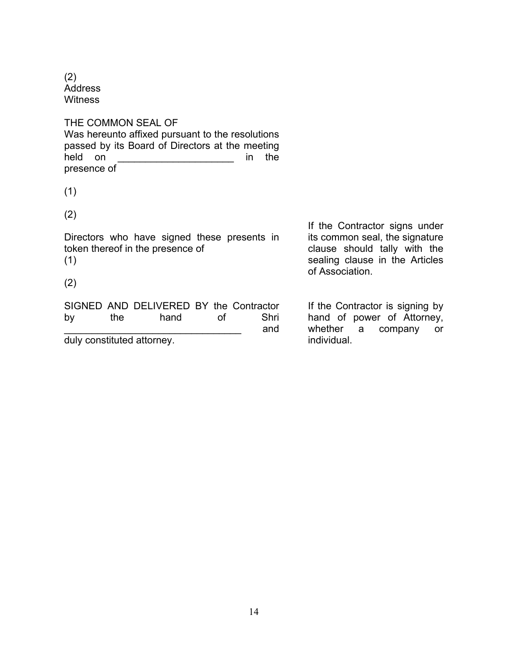(2) Address **Witness** 

THE COMMON SEAL OF Was hereunto affixed pursuant to the resolutions passed by its Board of Directors at the meeting held on **the intervalue of the structure of the in** the presence of

(1)

(2)

Directors who have signed these presents in token thereof in the presence of (1)

(2)

SIGNED AND DELIVERED BY the Contractor by the hand of Shri \_\_\_\_\_\_\_\_\_\_\_\_\_\_\_\_\_\_\_\_\_\_\_\_\_\_\_\_\_\_\_\_ and duly constituted attorney.

If the Contractor signs under its common seal, the signature clause should tally with the sealing clause in the Articles of Association.

If the Contractor is signing by hand of power of Attorney, whether a company or individual.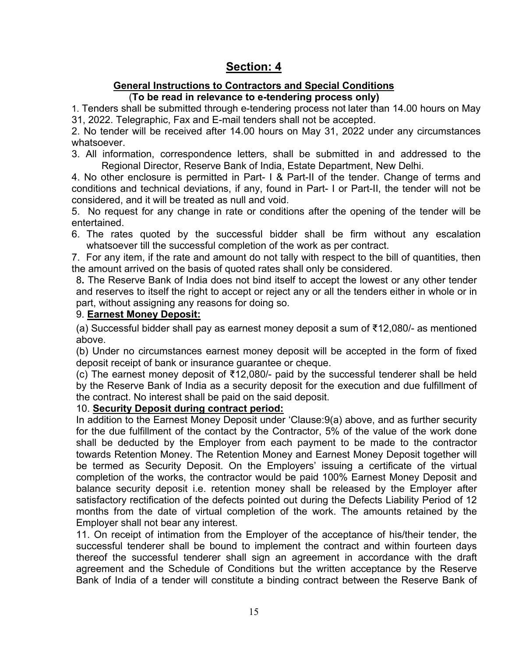# **Section: 4**

# **General Instructions to Contractors and Special Conditions**

(**To be read in relevance to e-tendering process only)**

 1. Tenders shall be submitted through e-tendering process not later than 14.00 hours on May 31, 2022. Telegraphic, Fax and E-mail tenders shall not be accepted.

2. No tender will be received after 14.00 hours on May 31, 2022 under any circumstances whatsoever.

3. All information, correspondence letters, shall be submitted in and addressed to the Regional Director, Reserve Bank of India, Estate Department, New Delhi.

4. No other enclosure is permitted in Part- I & Part-II of the tender. Change of terms and conditions and technical deviations, if any, found in Part- I or Part-II, the tender will not be considered, and it will be treated as null and void.

5. No request for any change in rate or conditions after the opening of the tender will be entertained.

6. The rates quoted by the successful bidder shall be firm without any escalation whatsoever till the successful completion of the work as per contract.

7. For any item, if the rate and amount do not tally with respect to the bill of quantities, then the amount arrived on the basis of quoted rates shall only be considered.

8**.** The Reserve Bank of India does not bind itself to accept the lowest or any other tender and reserves to itself the right to accept or reject any or all the tenders either in whole or in part, without assigning any reasons for doing so.

### 9. **Earnest Money Deposit:**

(a) Successful bidder shall pay as earnest money deposit a sum of ₹12,080/- as mentioned above.

(b) Under no circumstances earnest money deposit will be accepted in the form of fixed deposit receipt of bank or insurance guarantee or cheque.

(c) The earnest money deposit of ₹12,080/- paid by the successful tenderer shall be held by the Reserve Bank of India as a security deposit for the execution and due fulfillment of the contract. No interest shall be paid on the said deposit.

### 10. **Security Deposit during contract period:**

In addition to the Earnest Money Deposit under 'Clause:9(a) above, and as further security for the due fulfillment of the contact by the Contractor, 5% of the value of the work done shall be deducted by the Employer from each payment to be made to the contractor towards Retention Money. The Retention Money and Earnest Money Deposit together will be termed as Security Deposit. On the Employers' issuing a certificate of the virtual completion of the works, the contractor would be paid 100% Earnest Money Deposit and balance security deposit i.e. retention money shall be released by the Employer after satisfactory rectification of the defects pointed out during the Defects Liability Period of 12 months from the date of virtual completion of the work. The amounts retained by the Employer shall not bear any interest.

11. On receipt of intimation from the Employer of the acceptance of his/their tender, the successful tenderer shall be bound to implement the contract and within fourteen days thereof the successful tenderer shall sign an agreement in accordance with the draft agreement and the Schedule of Conditions but the written acceptance by the Reserve Bank of India of a tender will constitute a binding contract between the Reserve Bank of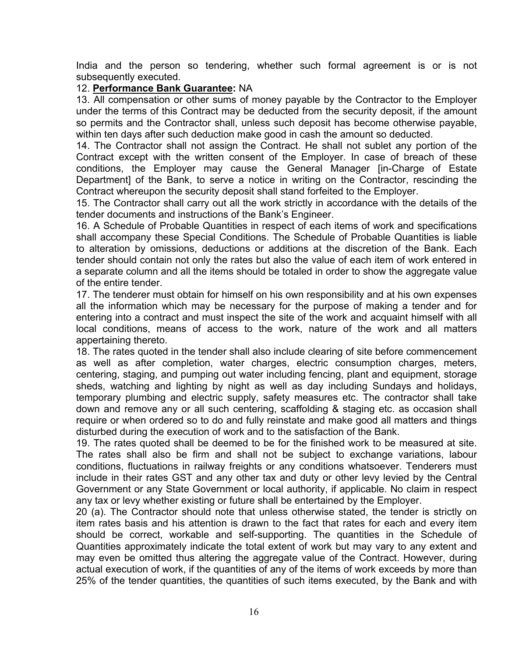India and the person so tendering, whether such formal agreement is or is not subsequently executed.

#### 12. **Performance Bank Guarantee:** NA

13. All compensation or other sums of money payable by the Contractor to the Employer under the terms of this Contract may be deducted from the security deposit, if the amount so permits and the Contractor shall, unless such deposit has become otherwise payable, within ten days after such deduction make good in cash the amount so deducted.

14. The Contractor shall not assign the Contract. He shall not sublet any portion of the Contract except with the written consent of the Employer. In case of breach of these conditions, the Employer may cause the General Manager [in-Charge of Estate Department] of the Bank, to serve a notice in writing on the Contractor, rescinding the Contract whereupon the security deposit shall stand forfeited to the Employer.

15. The Contractor shall carry out all the work strictly in accordance with the details of the tender documents and instructions of the Bank's Engineer.

16. A Schedule of Probable Quantities in respect of each items of work and specifications shall accompany these Special Conditions. The Schedule of Probable Quantities is liable to alteration by omissions, deductions or additions at the discretion of the Bank. Each tender should contain not only the rates but also the value of each item of work entered in a separate column and all the items should be totaled in order to show the aggregate value of the entire tender.

17. The tenderer must obtain for himself on his own responsibility and at his own expenses all the information which may be necessary for the purpose of making a tender and for entering into a contract and must inspect the site of the work and acquaint himself with all local conditions, means of access to the work, nature of the work and all matters appertaining thereto.

18. The rates quoted in the tender shall also include clearing of site before commencement as well as after completion, water charges, electric consumption charges, meters, centering, staging, and pumping out water including fencing, plant and equipment, storage sheds, watching and lighting by night as well as day including Sundays and holidays, temporary plumbing and electric supply, safety measures etc. The contractor shall take down and remove any or all such centering, scaffolding & staging etc. as occasion shall require or when ordered so to do and fully reinstate and make good all matters and things disturbed during the execution of work and to the satisfaction of the Bank.

19. The rates quoted shall be deemed to be for the finished work to be measured at site. The rates shall also be firm and shall not be subject to exchange variations, labour conditions, fluctuations in railway freights or any conditions whatsoever. Tenderers must include in their rates GST and any other tax and duty or other levy levied by the Central Government or any State Government or local authority, if applicable. No claim in respect any tax or levy whether existing or future shall be entertained by the Employer.

20 (a). The Contractor should note that unless otherwise stated, the tender is strictly on item rates basis and his attention is drawn to the fact that rates for each and every item should be correct, workable and self-supporting. The quantities in the Schedule of Quantities approximately indicate the total extent of work but may vary to any extent and may even be omitted thus altering the aggregate value of the Contract. However, during actual execution of work, if the quantities of any of the items of work exceeds by more than 25% of the tender quantities, the quantities of such items executed, by the Bank and with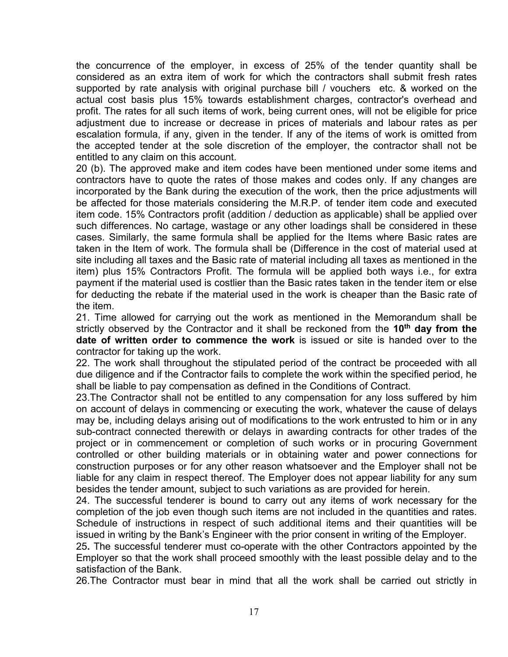the concurrence of the employer, in excess of 25% of the tender quantity shall be considered as an extra item of work for which the contractors shall submit fresh rates supported by rate analysis with original purchase bill / vouchers etc. & worked on the actual cost basis plus 15% towards establishment charges, contractor's overhead and profit. The rates for all such items of work, being current ones, will not be eligible for price adjustment due to increase or decrease in prices of materials and labour rates as per escalation formula, if any, given in the tender. If any of the items of work is omitted from the accepted tender at the sole discretion of the employer, the contractor shall not be entitled to any claim on this account.

20 (b). The approved make and item codes have been mentioned under some items and contractors have to quote the rates of those makes and codes only. If any changes are incorporated by the Bank during the execution of the work, then the price adjustments will be affected for those materials considering the M.R.P. of tender item code and executed item code. 15% Contractors profit (addition / deduction as applicable) shall be applied over such differences. No cartage, wastage or any other loadings shall be considered in these cases. Similarly, the same formula shall be applied for the Items where Basic rates are taken in the Item of work. The formula shall be (Difference in the cost of material used at site including all taxes and the Basic rate of material including all taxes as mentioned in the item) plus 15% Contractors Profit. The formula will be applied both ways i.e., for extra payment if the material used is costlier than the Basic rates taken in the tender item or else for deducting the rebate if the material used in the work is cheaper than the Basic rate of the item.

21. Time allowed for carrying out the work as mentioned in the Memorandum shall be strictly observed by the Contractor and it shall be reckoned from the **10th day from the date of written order to commence the work** is issued or site is handed over to the contractor for taking up the work.

22. The work shall throughout the stipulated period of the contract be proceeded with all due diligence and if the Contractor fails to complete the work within the specified period, he shall be liable to pay compensation as defined in the Conditions of Contract.

23.The Contractor shall not be entitled to any compensation for any loss suffered by him on account of delays in commencing or executing the work, whatever the cause of delays may be, including delays arising out of modifications to the work entrusted to him or in any sub-contract connected therewith or delays in awarding contracts for other trades of the project or in commencement or completion of such works or in procuring Government controlled or other building materials or in obtaining water and power connections for construction purposes or for any other reason whatsoever and the Employer shall not be liable for any claim in respect thereof. The Employer does not appear liability for any sum besides the tender amount, subject to such variations as are provided for herein.

24. The successful tenderer is bound to carry out any items of work necessary for the completion of the job even though such items are not included in the quantities and rates. Schedule of instructions in respect of such additional items and their quantities will be issued in writing by the Bank's Engineer with the prior consent in writing of the Employer.

25**.** The successful tenderer must co-operate with the other Contractors appointed by the Employer so that the work shall proceed smoothly with the least possible delay and to the satisfaction of the Bank.

26.The Contractor must bear in mind that all the work shall be carried out strictly in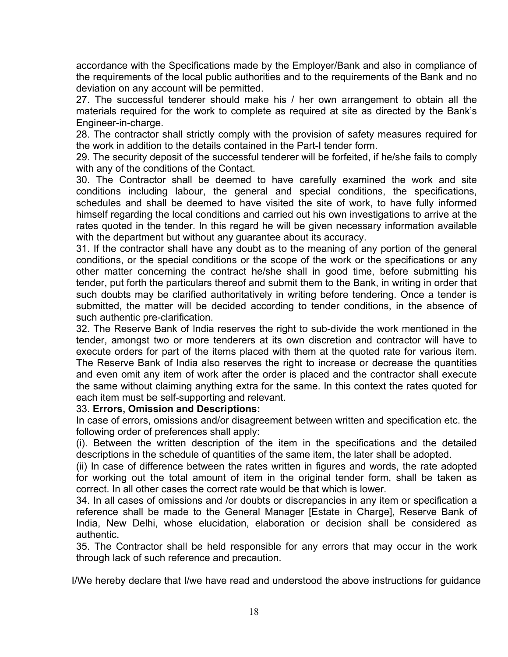accordance with the Specifications made by the Employer/Bank and also in compliance of the requirements of the local public authorities and to the requirements of the Bank and no deviation on any account will be permitted.

27. The successful tenderer should make his / her own arrangement to obtain all the materials required for the work to complete as required at site as directed by the Bank's Engineer-in-charge.

28. The contractor shall strictly comply with the provision of safety measures required for the work in addition to the details contained in the Part-I tender form.

29. The security deposit of the successful tenderer will be forfeited, if he/she fails to comply with any of the conditions of the Contact.

30. The Contractor shall be deemed to have carefully examined the work and site conditions including labour, the general and special conditions, the specifications, schedules and shall be deemed to have visited the site of work, to have fully informed himself regarding the local conditions and carried out his own investigations to arrive at the rates quoted in the tender. In this regard he will be given necessary information available with the department but without any guarantee about its accuracy.

31. If the contractor shall have any doubt as to the meaning of any portion of the general conditions, or the special conditions or the scope of the work or the specifications or any other matter concerning the contract he/she shall in good time, before submitting his tender, put forth the particulars thereof and submit them to the Bank, in writing in order that such doubts may be clarified authoritatively in writing before tendering. Once a tender is submitted, the matter will be decided according to tender conditions, in the absence of such authentic pre-clarification.

32. The Reserve Bank of India reserves the right to sub-divide the work mentioned in the tender, amongst two or more tenderers at its own discretion and contractor will have to execute orders for part of the items placed with them at the quoted rate for various item. The Reserve Bank of India also reserves the right to increase or decrease the quantities and even omit any item of work after the order is placed and the contractor shall execute the same without claiming anything extra for the same. In this context the rates quoted for each item must be self-supporting and relevant.

#### 33. **Errors, Omission and Descriptions:**

In case of errors, omissions and/or disagreement between written and specification etc. the following order of preferences shall apply:

(i). Between the written description of the item in the specifications and the detailed descriptions in the schedule of quantities of the same item, the later shall be adopted.

(ii) In case of difference between the rates written in figures and words, the rate adopted for working out the total amount of item in the original tender form, shall be taken as correct. In all other cases the correct rate would be that which is lower.

34. In all cases of omissions and /or doubts or discrepancies in any item or specification a reference shall be made to the General Manager [Estate in Charge], Reserve Bank of India, New Delhi, whose elucidation, elaboration or decision shall be considered as authentic.

35. The Contractor shall be held responsible for any errors that may occur in the work through lack of such reference and precaution.

I/We hereby declare that I/we have read and understood the above instructions for guidance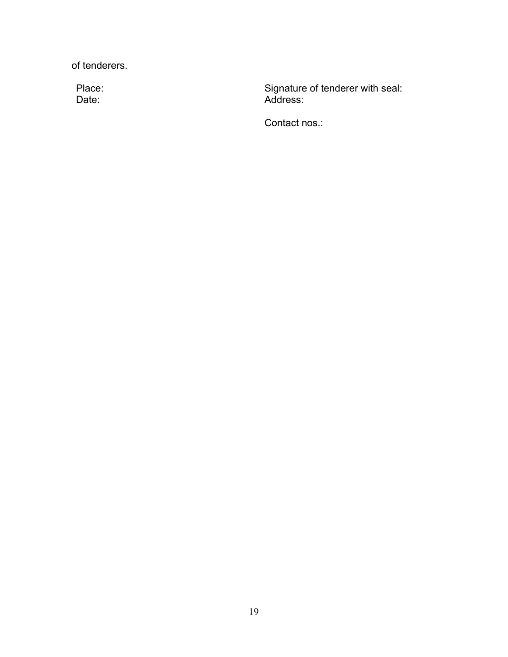of tenderers.

Date:

Place: The Signature of tenderer with seal: Address:

Contact nos.: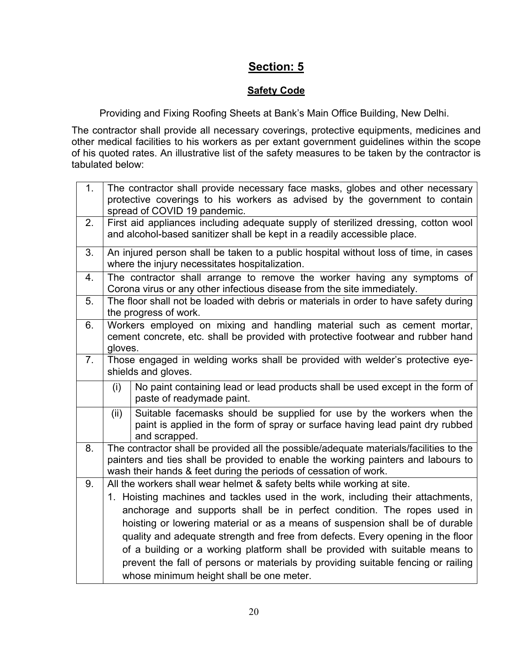# **Section: 5**

# **Safety Code**

Providing and Fixing Roofing Sheets at Bank's Main Office Building, New Delhi.

The contractor shall provide all necessary coverings, protective equipments, medicines and other medical facilities to his workers as per extant government guidelines within the scope of his quoted rates. An illustrative list of the safety measures to be taken by the contractor is tabulated below:

| 1. | The contractor shall provide necessary face masks, globes and other necessary<br>protective coverings to his workers as advised by the government to contain<br>spread of COVID 19 pandemic.                                                    |                                                                                                                                                                         |  |
|----|-------------------------------------------------------------------------------------------------------------------------------------------------------------------------------------------------------------------------------------------------|-------------------------------------------------------------------------------------------------------------------------------------------------------------------------|--|
| 2. | First aid appliances including adequate supply of sterilized dressing, cotton wool<br>and alcohol-based sanitizer shall be kept in a readily accessible place.                                                                                  |                                                                                                                                                                         |  |
| 3. | An injured person shall be taken to a public hospital without loss of time, in cases<br>where the injury necessitates hospitalization.                                                                                                          |                                                                                                                                                                         |  |
| 4. | The contractor shall arrange to remove the worker having any symptoms of<br>Corona virus or any other infectious disease from the site immediately.                                                                                             |                                                                                                                                                                         |  |
| 5. | The floor shall not be loaded with debris or materials in order to have safety during<br>the progress of work.                                                                                                                                  |                                                                                                                                                                         |  |
| 6. | Workers employed on mixing and handling material such as cement mortar,<br>cement concrete, etc. shall be provided with protective footwear and rubber hand<br>gloves.                                                                          |                                                                                                                                                                         |  |
| 7. | Those engaged in welding works shall be provided with welder's protective eye-<br>shields and gloves.                                                                                                                                           |                                                                                                                                                                         |  |
|    | (i)                                                                                                                                                                                                                                             | No paint containing lead or lead products shall be used except in the form of<br>paste of readymade paint.                                                              |  |
|    | (ii)                                                                                                                                                                                                                                            | Suitable facemasks should be supplied for use by the workers when the<br>paint is applied in the form of spray or surface having lead paint dry rubbed<br>and scrapped. |  |
| 8. | The contractor shall be provided all the possible/adequate materials/facilities to the<br>painters and ties shall be provided to enable the working painters and labours to<br>wash their hands & feet during the periods of cessation of work. |                                                                                                                                                                         |  |
| 9. | All the workers shall wear helmet & safety belts while working at site.                                                                                                                                                                         |                                                                                                                                                                         |  |
|    | 1. Hoisting machines and tackles used in the work, including their attachments,                                                                                                                                                                 |                                                                                                                                                                         |  |
|    | anchorage and supports shall be in perfect condition. The ropes used in                                                                                                                                                                         |                                                                                                                                                                         |  |
|    |                                                                                                                                                                                                                                                 | hoisting or lowering material or as a means of suspension shall be of durable<br>quality and adequate strength and free from defects. Every opening in the floor        |  |
|    |                                                                                                                                                                                                                                                 | of a building or a working platform shall be provided with suitable means to                                                                                            |  |
|    |                                                                                                                                                                                                                                                 | prevent the fall of persons or materials by providing suitable fencing or railing                                                                                       |  |
|    | whose minimum height shall be one meter.                                                                                                                                                                                                        |                                                                                                                                                                         |  |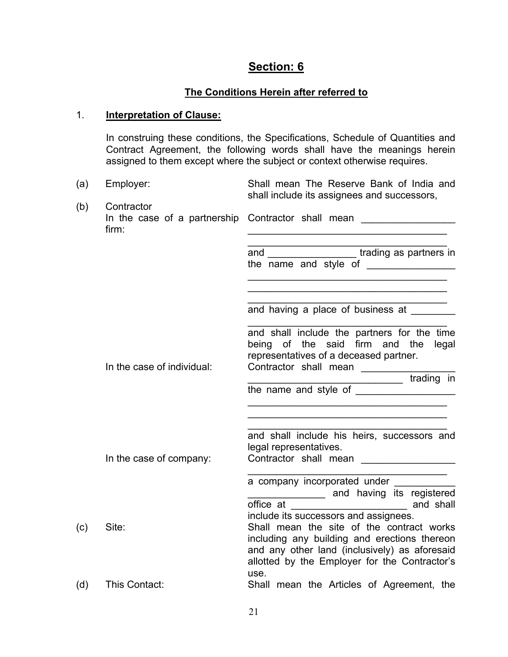# **Section: 6**

### **The Conditions Herein after referred to**

### 1. **Interpretation of Clause:**

In construing these conditions, the Specifications, Schedule of Quantities and Contract Agreement, the following words shall have the meanings herein assigned to them except where the subject or context otherwise requires.

| (a) | Employer:                  | Shall mean The Reserve Bank of India and<br>shall include its assignees and successors,                                                                                                                                                      |
|-----|----------------------------|----------------------------------------------------------------------------------------------------------------------------------------------------------------------------------------------------------------------------------------------|
| (b) | Contractor<br>firm:        | In the case of a partnership Contractor shall mean _________________                                                                                                                                                                         |
|     |                            | and ___________________trading as partners in<br>the name and style of ________________                                                                                                                                                      |
|     |                            | and having a place of business at                                                                                                                                                                                                            |
|     | In the case of individual: | and shall include the partners for the time<br>being of the said firm and the legal<br>representatives of a deceased partner.                                                                                                                |
|     |                            |                                                                                                                                                                                                                                              |
|     |                            |                                                                                                                                                                                                                                              |
|     | In the case of company:    | and shall include his heirs, successors and<br>legal representatives.<br>Contractor shall mean                                                                                                                                               |
|     |                            | a company incorporated under<br><b>EXAMPLE 2014</b> and having its registered                                                                                                                                                                |
| (c) | Site:                      | include its successors and assignees.<br>Shall mean the site of the contract works<br>including any building and erections thereon<br>and any other land (inclusively) as aforesaid<br>allotted by the Employer for the Contractor's<br>use. |
| (d) | This Contact:              | Shall mean the Articles of Agreement, the                                                                                                                                                                                                    |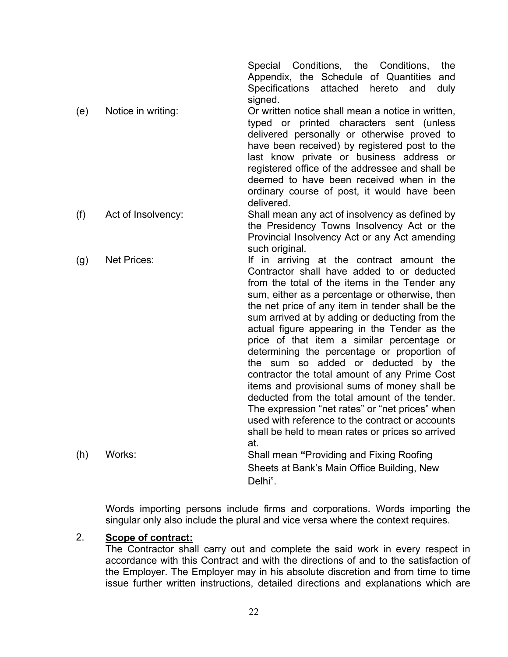Special Conditions, the Conditions, the Appendix, the Schedule of Quantities and Specifications attached hereto and duly signed.

- (e) Notice in writing: Or written notice shall mean a notice in written, typed or printed characters sent (unless delivered personally or otherwise proved to have been received) by registered post to the last know private or business address or registered office of the addressee and shall be deemed to have been received when in the ordinary course of post, it would have been delivered. (f) Act of Insolvency: Shall mean any act of insolvency as defined by
	- the Presidency Towns Insolvency Act or the Provincial Insolvency Act or any Act amending such original.
- (g) Net Prices: If in arriving at the contract amount the Contractor shall have added to or deducted from the total of the items in the Tender any sum, either as a percentage or otherwise, then the net price of any item in tender shall be the sum arrived at by adding or deducting from the actual figure appearing in the Tender as the price of that item a similar percentage or determining the percentage or proportion of the sum so added or deducted by the contractor the total amount of any Prime Cost items and provisional sums of money shall be deducted from the total amount of the tender. The expression "net rates" or "net prices" when used with reference to the contract or accounts shall be held to mean rates or prices so arrived at. (h) Works: Shall mean **"**Providing and Fixing Roofing
	- Sheets at Bank's Main Office Building, New Delhi".

Words importing persons include firms and corporations. Words importing the singular only also include the plural and vice versa where the context requires.

#### 2. **Scope of contract:**

The Contractor shall carry out and complete the said work in every respect in accordance with this Contract and with the directions of and to the satisfaction of the Employer. The Employer may in his absolute discretion and from time to time issue further written instructions, detailed directions and explanations which are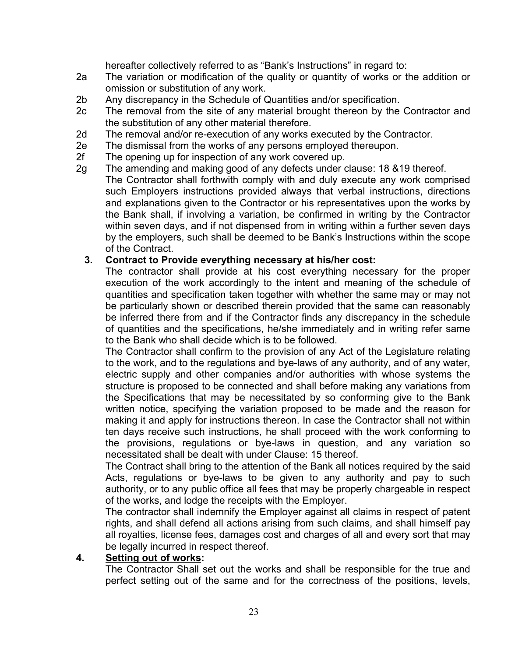hereafter collectively referred to as "Bank's Instructions" in regard to:

- 2a The variation or modification of the quality or quantity of works or the addition or omission or substitution of any work.
- 2b Any discrepancy in the Schedule of Quantities and/or specification.
- 2c The removal from the site of any material brought thereon by the Contractor and the substitution of any other material therefore.
- 2d The removal and/or re-execution of any works executed by the Contractor.
- 2e The dismissal from the works of any persons employed thereupon.
- 2f The opening up for inspection of any work covered up.
- 2g The amending and making good of any defects under clause: 18 &19 thereof. The Contractor shall forthwith comply with and duly execute any work comprised such Employers instructions provided always that verbal instructions, directions and explanations given to the Contractor or his representatives upon the works by the Bank shall, if involving a variation, be confirmed in writing by the Contractor within seven days, and if not dispensed from in writing within a further seven days by the employers, such shall be deemed to be Bank's Instructions within the scope of the Contract.

#### **3. Contract to Provide everything necessary at his/her cost:**

The contractor shall provide at his cost everything necessary for the proper execution of the work accordingly to the intent and meaning of the schedule of quantities and specification taken together with whether the same may or may not be particularly shown or described therein provided that the same can reasonably be inferred there from and if the Contractor finds any discrepancy in the schedule of quantities and the specifications, he/she immediately and in writing refer same to the Bank who shall decide which is to be followed.

The Contractor shall confirm to the provision of any Act of the Legislature relating to the work, and to the regulations and bye-laws of any authority, and of any water, electric supply and other companies and/or authorities with whose systems the structure is proposed to be connected and shall before making any variations from the Specifications that may be necessitated by so conforming give to the Bank written notice, specifying the variation proposed to be made and the reason for making it and apply for instructions thereon. In case the Contractor shall not within ten days receive such instructions, he shall proceed with the work conforming to the provisions, regulations or bye-laws in question, and any variation so necessitated shall be dealt with under Clause: 15 thereof.

The Contract shall bring to the attention of the Bank all notices required by the said Acts, regulations or bye-laws to be given to any authority and pay to such authority, or to any public office all fees that may be properly chargeable in respect of the works, and lodge the receipts with the Employer.

The contractor shall indemnify the Employer against all claims in respect of patent rights, and shall defend all actions arising from such claims, and shall himself pay all royalties, license fees, damages cost and charges of all and every sort that may be legally incurred in respect thereof.

#### **4. Setting out of works:**

The Contractor Shall set out the works and shall be responsible for the true and perfect setting out of the same and for the correctness of the positions, levels,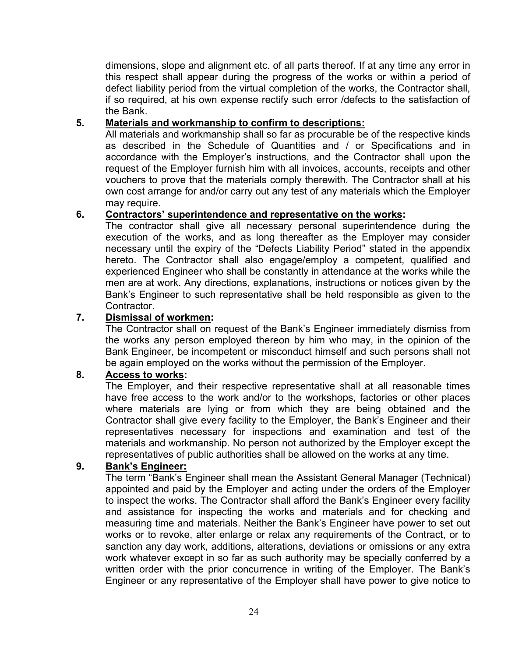dimensions, slope and alignment etc. of all parts thereof. If at any time any error in this respect shall appear during the progress of the works or within a period of defect liability period from the virtual completion of the works, the Contractor shall, if so required, at his own expense rectify such error /defects to the satisfaction of the Bank.

#### **5. Materials and workmanship to confirm to descriptions:**

All materials and workmanship shall so far as procurable be of the respective kinds as described in the Schedule of Quantities and / or Specifications and in accordance with the Employer's instructions, and the Contractor shall upon the request of the Employer furnish him with all invoices, accounts, receipts and other vouchers to prove that the materials comply therewith. The Contractor shall at his own cost arrange for and/or carry out any test of any materials which the Employer may require.

#### **6. Contractors' superintendence and representative on the works:**

The contractor shall give all necessary personal superintendence during the execution of the works, and as long thereafter as the Employer may consider necessary until the expiry of the "Defects Liability Period" stated in the appendix hereto. The Contractor shall also engage/employ a competent, qualified and experienced Engineer who shall be constantly in attendance at the works while the men are at work. Any directions, explanations, instructions or notices given by the Bank's Engineer to such representative shall be held responsible as given to the Contractor.

#### **7. Dismissal of workmen:**

The Contractor shall on request of the Bank's Engineer immediately dismiss from the works any person employed thereon by him who may, in the opinion of the Bank Engineer, be incompetent or misconduct himself and such persons shall not be again employed on the works without the permission of the Employer.

#### **8. Access to works:**

The Employer, and their respective representative shall at all reasonable times have free access to the work and/or to the workshops, factories or other places where materials are lying or from which they are being obtained and the Contractor shall give every facility to the Employer, the Bank's Engineer and their representatives necessary for inspections and examination and test of the materials and workmanship. No person not authorized by the Employer except the representatives of public authorities shall be allowed on the works at any time.

#### **9. Bank's Engineer:**

The term "Bank's Engineer shall mean the Assistant General Manager (Technical) appointed and paid by the Employer and acting under the orders of the Employer to inspect the works. The Contractor shall afford the Bank's Engineer every facility and assistance for inspecting the works and materials and for checking and measuring time and materials. Neither the Bank's Engineer have power to set out works or to revoke, alter enlarge or relax any requirements of the Contract, or to sanction any day work, additions, alterations, deviations or omissions or any extra work whatever except in so far as such authority may be specially conferred by a written order with the prior concurrence in writing of the Employer. The Bank's Engineer or any representative of the Employer shall have power to give notice to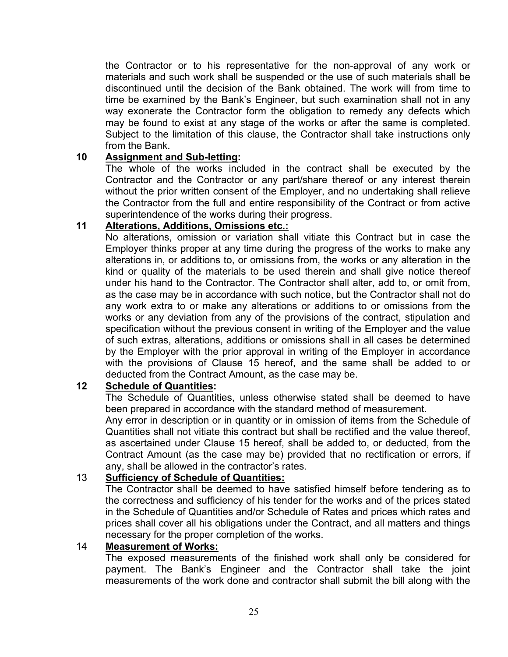the Contractor or to his representative for the non-approval of any work or materials and such work shall be suspended or the use of such materials shall be discontinued until the decision of the Bank obtained. The work will from time to time be examined by the Bank's Engineer, but such examination shall not in any way exonerate the Contractor form the obligation to remedy any defects which may be found to exist at any stage of the works or after the same is completed. Subject to the limitation of this clause, the Contractor shall take instructions only from the Bank.

#### **10 Assignment and Sub-letting:**

The whole of the works included in the contract shall be executed by the Contractor and the Contractor or any part/share thereof or any interest therein without the prior written consent of the Employer, and no undertaking shall relieve the Contractor from the full and entire responsibility of the Contract or from active superintendence of the works during their progress.

#### **11 Alterations, Additions, Omissions etc.:**

No alterations, omission or variation shall vitiate this Contract but in case the Employer thinks proper at any time during the progress of the works to make any alterations in, or additions to, or omissions from, the works or any alteration in the kind or quality of the materials to be used therein and shall give notice thereof under his hand to the Contractor. The Contractor shall alter, add to, or omit from, as the case may be in accordance with such notice, but the Contractor shall not do any work extra to or make any alterations or additions to or omissions from the works or any deviation from any of the provisions of the contract, stipulation and specification without the previous consent in writing of the Employer and the value of such extras, alterations, additions or omissions shall in all cases be determined by the Employer with the prior approval in writing of the Employer in accordance with the provisions of Clause 15 hereof, and the same shall be added to or deducted from the Contract Amount, as the case may be.

#### **12 Schedule of Quantities:**

The Schedule of Quantities, unless otherwise stated shall be deemed to have been prepared in accordance with the standard method of measurement.

Any error in description or in quantity or in omission of items from the Schedule of Quantities shall not vitiate this contract but shall be rectified and the value thereof, as ascertained under Clause 15 hereof, shall be added to, or deducted, from the Contract Amount (as the case may be) provided that no rectification or errors, if any, shall be allowed in the contractor's rates.

#### 13 **Sufficiency of Schedule of Quantities:**

The Contractor shall be deemed to have satisfied himself before tendering as to the correctness and sufficiency of his tender for the works and of the prices stated in the Schedule of Quantities and/or Schedule of Rates and prices which rates and prices shall cover all his obligations under the Contract, and all matters and things necessary for the proper completion of the works.

#### 14 **Measurement of Works:**

The exposed measurements of the finished work shall only be considered for payment. The Bank's Engineer and the Contractor shall take the joint measurements of the work done and contractor shall submit the bill along with the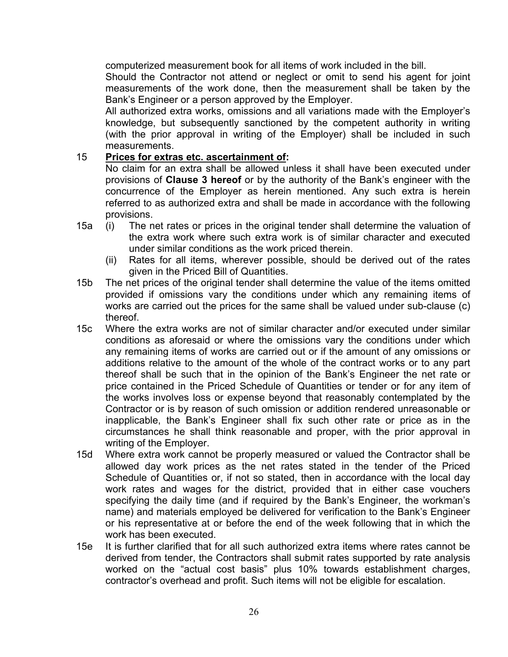computerized measurement book for all items of work included in the bill.

Should the Contractor not attend or neglect or omit to send his agent for joint measurements of the work done, then the measurement shall be taken by the Bank's Engineer or a person approved by the Employer.

All authorized extra works, omissions and all variations made with the Employer's knowledge, but subsequently sanctioned by the competent authority in writing (with the prior approval in writing of the Employer) shall be included in such measurements.

#### 15 **Prices for extras etc. ascertainment of:**

No claim for an extra shall be allowed unless it shall have been executed under provisions of **Clause 3 hereof** or by the authority of the Bank's engineer with the concurrence of the Employer as herein mentioned. Any such extra is herein referred to as authorized extra and shall be made in accordance with the following provisions.

- 15a (i) The net rates or prices in the original tender shall determine the valuation of the extra work where such extra work is of similar character and executed under similar conditions as the work priced therein.
	- (ii) Rates for all items, wherever possible, should be derived out of the rates given in the Priced Bill of Quantities.
- 15b The net prices of the original tender shall determine the value of the items omitted provided if omissions vary the conditions under which any remaining items of works are carried out the prices for the same shall be valued under sub-clause (c) thereof.
- 15c Where the extra works are not of similar character and/or executed under similar conditions as aforesaid or where the omissions vary the conditions under which any remaining items of works are carried out or if the amount of any omissions or additions relative to the amount of the whole of the contract works or to any part thereof shall be such that in the opinion of the Bank's Engineer the net rate or price contained in the Priced Schedule of Quantities or tender or for any item of the works involves loss or expense beyond that reasonably contemplated by the Contractor or is by reason of such omission or addition rendered unreasonable or inapplicable, the Bank's Engineer shall fix such other rate or price as in the circumstances he shall think reasonable and proper, with the prior approval in writing of the Employer.
- 15d Where extra work cannot be properly measured or valued the Contractor shall be allowed day work prices as the net rates stated in the tender of the Priced Schedule of Quantities or, if not so stated, then in accordance with the local day work rates and wages for the district, provided that in either case vouchers specifying the daily time (and if required by the Bank's Engineer, the workman's name) and materials employed be delivered for verification to the Bank's Engineer or his representative at or before the end of the week following that in which the work has been executed.
- 15e It is further clarified that for all such authorized extra items where rates cannot be derived from tender, the Contractors shall submit rates supported by rate analysis worked on the "actual cost basis" plus 10% towards establishment charges, contractor's overhead and profit. Such items will not be eligible for escalation.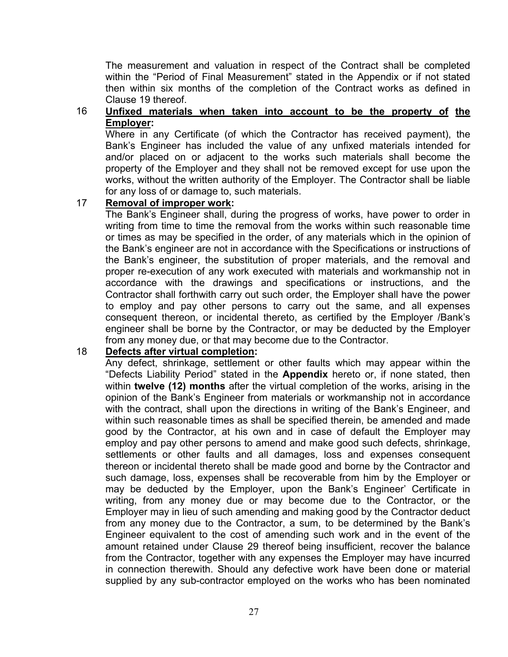The measurement and valuation in respect of the Contract shall be completed within the "Period of Final Measurement" stated in the Appendix or if not stated then within six months of the completion of the Contract works as defined in Clause 19 thereof.

#### 16 **Unfixed materials when taken into account to be the property of the Employer:**

Where in any Certificate (of which the Contractor has received payment), the Bank's Engineer has included the value of any unfixed materials intended for and/or placed on or adjacent to the works such materials shall become the property of the Employer and they shall not be removed except for use upon the works, without the written authority of the Employer. The Contractor shall be liable for any loss of or damage to, such materials.

#### 17 **Removal of improper work:**

The Bank's Engineer shall, during the progress of works, have power to order in writing from time to time the removal from the works within such reasonable time or times as may be specified in the order, of any materials which in the opinion of the Bank's engineer are not in accordance with the Specifications or instructions of the Bank's engineer, the substitution of proper materials, and the removal and proper re-execution of any work executed with materials and workmanship not in accordance with the drawings and specifications or instructions, and the Contractor shall forthwith carry out such order, the Employer shall have the power to employ and pay other persons to carry out the same, and all expenses consequent thereon, or incidental thereto, as certified by the Employer /Bank's engineer shall be borne by the Contractor, or may be deducted by the Employer from any money due, or that may become due to the Contractor.

#### 18 **Defects after virtual completion:**

Any defect, shrinkage, settlement or other faults which may appear within the "Defects Liability Period" stated in the **Appendix** hereto or, if none stated, then within **twelve (12) months** after the virtual completion of the works, arising in the opinion of the Bank's Engineer from materials or workmanship not in accordance with the contract, shall upon the directions in writing of the Bank's Engineer, and within such reasonable times as shall be specified therein, be amended and made good by the Contractor, at his own and in case of default the Employer may employ and pay other persons to amend and make good such defects, shrinkage, settlements or other faults and all damages, loss and expenses consequent thereon or incidental thereto shall be made good and borne by the Contractor and such damage, loss, expenses shall be recoverable from him by the Employer or may be deducted by the Employer, upon the Bank's Engineer' Certificate in writing, from any money due or may become due to the Contractor, or the Employer may in lieu of such amending and making good by the Contractor deduct from any money due to the Contractor, a sum, to be determined by the Bank's Engineer equivalent to the cost of amending such work and in the event of the amount retained under Clause 29 thereof being insufficient, recover the balance from the Contractor, together with any expenses the Employer may have incurred in connection therewith. Should any defective work have been done or material supplied by any sub-contractor employed on the works who has been nominated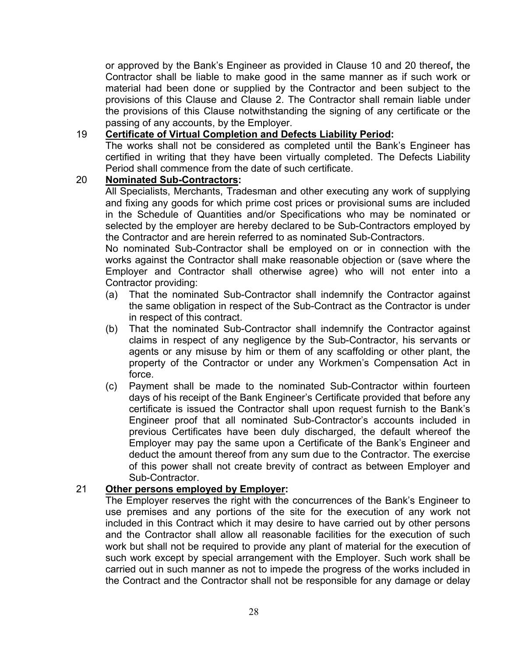or approved by the Bank's Engineer as provided in Clause 10 and 20 thereof**,** the Contractor shall be liable to make good in the same manner as if such work or material had been done or supplied by the Contractor and been subject to the provisions of this Clause and Clause 2. The Contractor shall remain liable under the provisions of this Clause notwithstanding the signing of any certificate or the passing of any accounts, by the Employer.

#### 19 **Certificate of Virtual Completion and Defects Liability Period:**

The works shall not be considered as completed until the Bank's Engineer has certified in writing that they have been virtually completed. The Defects Liability Period shall commence from the date of such certificate.

#### 20 **Nominated Sub-Contractors:**

All Specialists, Merchants, Tradesman and other executing any work of supplying and fixing any goods for which prime cost prices or provisional sums are included in the Schedule of Quantities and/or Specifications who may be nominated or selected by the employer are hereby declared to be Sub-Contractors employed by the Contractor and are herein referred to as nominated Sub-Contractors.

No nominated Sub-Contractor shall be employed on or in connection with the works against the Contractor shall make reasonable objection or (save where the Employer and Contractor shall otherwise agree) who will not enter into a Contractor providing:

- (a) That the nominated Sub-Contractor shall indemnify the Contractor against the same obligation in respect of the Sub-Contract as the Contractor is under in respect of this contract.
- (b) That the nominated Sub-Contractor shall indemnify the Contractor against claims in respect of any negligence by the Sub-Contractor, his servants or agents or any misuse by him or them of any scaffolding or other plant, the property of the Contractor or under any Workmen's Compensation Act in force.
- (c) Payment shall be made to the nominated Sub-Contractor within fourteen days of his receipt of the Bank Engineer's Certificate provided that before any certificate is issued the Contractor shall upon request furnish to the Bank's Engineer proof that all nominated Sub-Contractor's accounts included in previous Certificates have been duly discharged, the default whereof the Employer may pay the same upon a Certificate of the Bank's Engineer and deduct the amount thereof from any sum due to the Contractor. The exercise of this power shall not create brevity of contract as between Employer and Sub-Contractor.

#### 21 **Other persons employed by Employer:**

The Employer reserves the right with the concurrences of the Bank's Engineer to use premises and any portions of the site for the execution of any work not included in this Contract which it may desire to have carried out by other persons and the Contractor shall allow all reasonable facilities for the execution of such work but shall not be required to provide any plant of material for the execution of such work except by special arrangement with the Employer. Such work shall be carried out in such manner as not to impede the progress of the works included in the Contract and the Contractor shall not be responsible for any damage or delay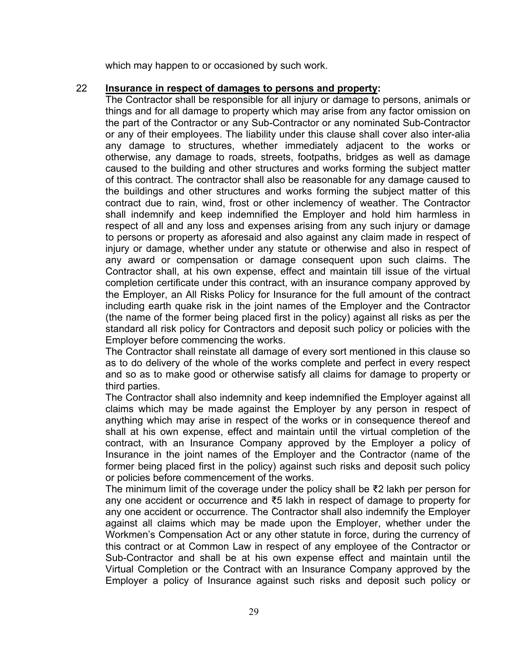which may happen to or occasioned by such work.

#### 22 **Insurance in respect of damages to persons and property:**

The Contractor shall be responsible for all injury or damage to persons, animals or things and for all damage to property which may arise from any factor omission on the part of the Contractor or any Sub-Contractor or any nominated Sub-Contractor or any of their employees. The liability under this clause shall cover also inter-alia any damage to structures, whether immediately adjacent to the works or otherwise, any damage to roads, streets, footpaths, bridges as well as damage caused to the building and other structures and works forming the subject matter of this contract. The contractor shall also be reasonable for any damage caused to the buildings and other structures and works forming the subject matter of this contract due to rain, wind, frost or other inclemency of weather. The Contractor shall indemnify and keep indemnified the Employer and hold him harmless in respect of all and any loss and expenses arising from any such injury or damage to persons or property as aforesaid and also against any claim made in respect of injury or damage, whether under any statute or otherwise and also in respect of any award or compensation or damage consequent upon such claims. The Contractor shall, at his own expense, effect and maintain till issue of the virtual completion certificate under this contract, with an insurance company approved by the Employer, an All Risks Policy for Insurance for the full amount of the contract including earth quake risk in the joint names of the Employer and the Contractor (the name of the former being placed first in the policy) against all risks as per the standard all risk policy for Contractors and deposit such policy or policies with the Employer before commencing the works.

The Contractor shall reinstate all damage of every sort mentioned in this clause so as to do delivery of the whole of the works complete and perfect in every respect and so as to make good or otherwise satisfy all claims for damage to property or third parties.

The Contractor shall also indemnity and keep indemnified the Employer against all claims which may be made against the Employer by any person in respect of anything which may arise in respect of the works or in consequence thereof and shall at his own expense, effect and maintain until the virtual completion of the contract, with an Insurance Company approved by the Employer a policy of Insurance in the joint names of the Employer and the Contractor (name of the former being placed first in the policy) against such risks and deposit such policy or policies before commencement of the works.

The minimum limit of the coverage under the policy shall be ₹2 lakh per person for any one accident or occurrence and ₹5 lakh in respect of damage to property for any one accident or occurrence. The Contractor shall also indemnify the Employer against all claims which may be made upon the Employer, whether under the Workmen's Compensation Act or any other statute in force, during the currency of this contract or at Common Law in respect of any employee of the Contractor or Sub-Contractor and shall be at his own expense effect and maintain until the Virtual Completion or the Contract with an Insurance Company approved by the Employer a policy of Insurance against such risks and deposit such policy or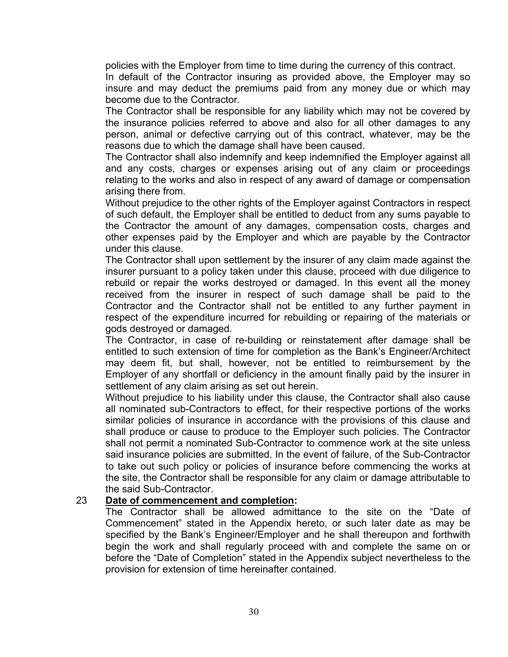policies with the Employer from time to time during the currency of this contract.

In default of the Contractor insuring as provided above, the Employer may so insure and may deduct the premiums paid from any money due or which may become due to the Contractor.

The Contractor shall be responsible for any liability which may not be covered by the insurance policies referred to above and also for all other damages to any person, animal or defective carrying out of this contract, whatever, may be the reasons due to which the damage shall have been caused.

The Contractor shall also indemnify and keep indemnified the Employer against all and any costs, charges or expenses arising out of any claim or proceedings relating to the works and also in respect of any award of damage or compensation arising there from.

Without prejudice to the other rights of the Employer against Contractors in respect of such default, the Employer shall be entitled to deduct from any sums payable to the Contractor the amount of any damages, compensation costs, charges and other expenses paid by the Employer and which are payable by the Contractor under this clause.

The Contractor shall upon settlement by the insurer of any claim made against the insurer pursuant to a policy taken under this clause, proceed with due diligence to rebuild or repair the works destroyed or damaged. In this event all the money received from the insurer in respect of such damage shall be paid to the Contractor and the Contractor shall not be entitled to any further payment in respect of the expenditure incurred for rebuilding or repairing of the materials or gods destroyed or damaged.

The Contractor, in case of re-building or reinstatement after damage shall be entitled to such extension of time for completion as the Bank's Engineer/Architect may deem fit, but shall, however, not be entitled to reimbursement by the Employer of any shortfall or deficiency in the amount finally paid by the insurer in settlement of any claim arising as set out herein.

Without prejudice to his liability under this clause, the Contractor shall also cause all nominated sub-Contractors to effect, for their respective portions of the works similar policies of insurance in accordance with the provisions of this clause and shall produce or cause to produce to the Employer such policies. The Contractor shall not permit a nominated Sub-Contractor to commence work at the site unless said insurance policies are submitted. In the event of failure, of the Sub-Contractor to take out such policy or policies of insurance before commencing the works at the site, the Contractor shall be responsible for any claim or damage attributable to the said Sub-Contractor.

#### 23 **Date of commencement and completion:**

The Contractor shall be allowed admittance to the site on the "Date of Commencement" stated in the Appendix hereto, or such later date as may be specified by the Bank's Engineer/Employer and he shall thereupon and forthwith begin the work and shall regularly proceed with and complete the same on or before the "Date of Completion" stated in the Appendix subject nevertheless to the provision for extension of time hereinafter contained.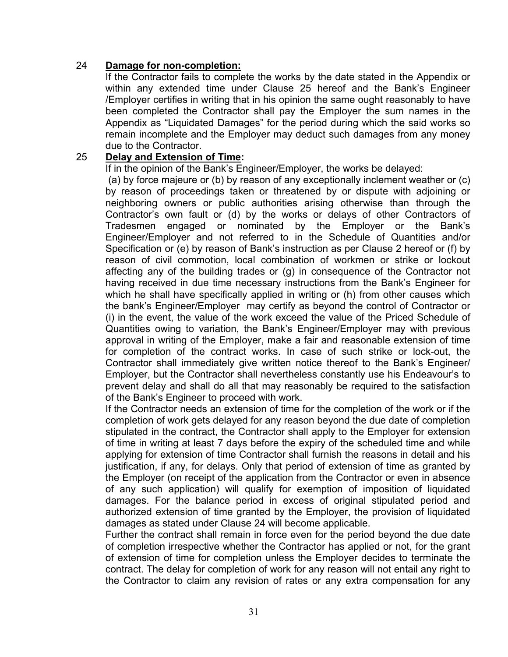#### 24 **Damage for non-completion:**

If the Contractor fails to complete the works by the date stated in the Appendix or within any extended time under Clause 25 hereof and the Bank's Engineer /Employer certifies in writing that in his opinion the same ought reasonably to have been completed the Contractor shall pay the Employer the sum names in the Appendix as "Liquidated Damages" for the period during which the said works so remain incomplete and the Employer may deduct such damages from any money due to the Contractor.

#### 25 **Delay and Extension of Time:**

If in the opinion of the Bank's Engineer/Employer, the works be delayed:

(a) by force majeure or (b) by reason of any exceptionally inclement weather or (c) by reason of proceedings taken or threatened by or dispute with adjoining or neighboring owners or public authorities arising otherwise than through the Contractor's own fault or (d) by the works or delays of other Contractors of Tradesmen engaged or nominated by the Employer or the Bank's Engineer/Employer and not referred to in the Schedule of Quantities and/or Specification or (e) by reason of Bank's instruction as per Clause 2 hereof or (f) by reason of civil commotion, local combination of workmen or strike or lockout affecting any of the building trades or (g) in consequence of the Contractor not having received in due time necessary instructions from the Bank's Engineer for which he shall have specifically applied in writing or (h) from other causes which the bank's Engineer/Employer may certify as beyond the control of Contractor or (i) in the event, the value of the work exceed the value of the Priced Schedule of Quantities owing to variation, the Bank's Engineer/Employer may with previous approval in writing of the Employer, make a fair and reasonable extension of time for completion of the contract works. In case of such strike or lock-out, the Contractor shall immediately give written notice thereof to the Bank's Engineer/ Employer, but the Contractor shall nevertheless constantly use his Endeavour's to prevent delay and shall do all that may reasonably be required to the satisfaction of the Bank's Engineer to proceed with work.

If the Contractor needs an extension of time for the completion of the work or if the completion of work gets delayed for any reason beyond the due date of completion stipulated in the contract, the Contractor shall apply to the Employer for extension of time in writing at least 7 days before the expiry of the scheduled time and while applying for extension of time Contractor shall furnish the reasons in detail and his justification, if any, for delays. Only that period of extension of time as granted by the Employer (on receipt of the application from the Contractor or even in absence of any such application) will qualify for exemption of imposition of liquidated damages. For the balance period in excess of original stipulated period and authorized extension of time granted by the Employer, the provision of liquidated damages as stated under Clause 24 will become applicable.

Further the contract shall remain in force even for the period beyond the due date of completion irrespective whether the Contractor has applied or not, for the grant of extension of time for completion unless the Employer decides to terminate the contract. The delay for completion of work for any reason will not entail any right to the Contractor to claim any revision of rates or any extra compensation for any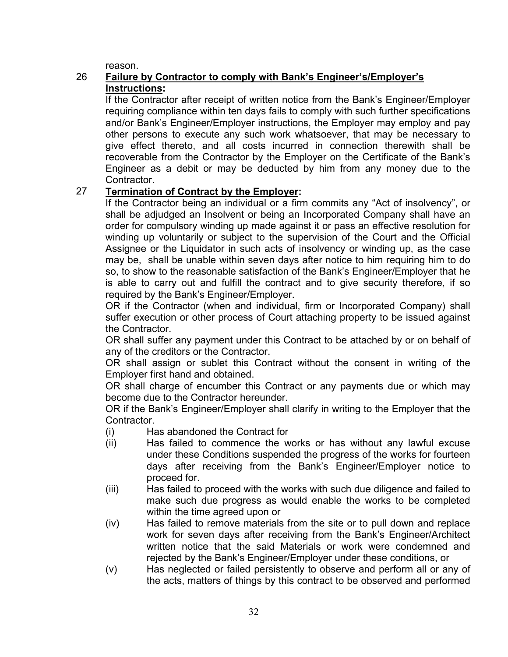reason.

#### 26 **Failure by Contractor to comply with Bank's Engineer's/Employer's Instructions:**

If the Contractor after receipt of written notice from the Bank's Engineer/Employer requiring compliance within ten days fails to comply with such further specifications and/or Bank's Engineer/Employer instructions, the Employer may employ and pay other persons to execute any such work whatsoever, that may be necessary to give effect thereto, and all costs incurred in connection therewith shall be recoverable from the Contractor by the Employer on the Certificate of the Bank's Engineer as a debit or may be deducted by him from any money due to the Contractor.

### 27 **Termination of Contract by the Employer:**

If the Contractor being an individual or a firm commits any "Act of insolvency", or shall be adjudged an Insolvent or being an Incorporated Company shall have an order for compulsory winding up made against it or pass an effective resolution for winding up voluntarily or subject to the supervision of the Court and the Official Assignee or the Liquidator in such acts of insolvency or winding up, as the case may be, shall be unable within seven days after notice to him requiring him to do so, to show to the reasonable satisfaction of the Bank's Engineer/Employer that he is able to carry out and fulfill the contract and to give security therefore, if so required by the Bank's Engineer/Employer.

OR if the Contractor (when and individual, firm or Incorporated Company) shall suffer execution or other process of Court attaching property to be issued against the Contractor.

OR shall suffer any payment under this Contract to be attached by or on behalf of any of the creditors or the Contractor.

OR shall assign or sublet this Contract without the consent in writing of the Employer first hand and obtained.

OR shall charge of encumber this Contract or any payments due or which may become due to the Contractor hereunder.

OR if the Bank's Engineer/Employer shall clarify in writing to the Employer that the Contractor.

- (i) Has abandoned the Contract for
- (ii) Has failed to commence the works or has without any lawful excuse under these Conditions suspended the progress of the works for fourteen days after receiving from the Bank's Engineer/Employer notice to proceed for.
- (iii) Has failed to proceed with the works with such due diligence and failed to make such due progress as would enable the works to be completed within the time agreed upon or
- (iv) Has failed to remove materials from the site or to pull down and replace work for seven days after receiving from the Bank's Engineer/Architect written notice that the said Materials or work were condemned and rejected by the Bank's Engineer/Employer under these conditions, or
- (v) Has neglected or failed persistently to observe and perform all or any of the acts, matters of things by this contract to be observed and performed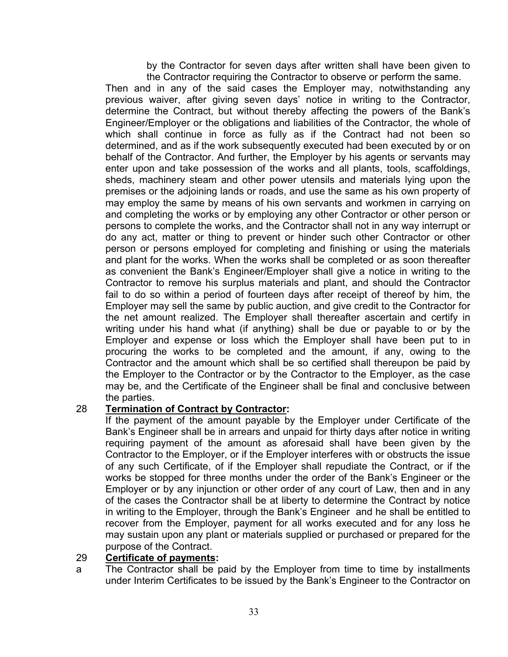by the Contractor for seven days after written shall have been given to the Contractor requiring the Contractor to observe or perform the same.

Then and in any of the said cases the Employer may, notwithstanding any previous waiver, after giving seven days' notice in writing to the Contractor, determine the Contract, but without thereby affecting the powers of the Bank's Engineer/Employer or the obligations and liabilities of the Contractor, the whole of which shall continue in force as fully as if the Contract had not been so determined, and as if the work subsequently executed had been executed by or on behalf of the Contractor. And further, the Employer by his agents or servants may enter upon and take possession of the works and all plants, tools, scaffoldings, sheds, machinery steam and other power utensils and materials lying upon the premises or the adjoining lands or roads, and use the same as his own property of may employ the same by means of his own servants and workmen in carrying on and completing the works or by employing any other Contractor or other person or persons to complete the works, and the Contractor shall not in any way interrupt or do any act, matter or thing to prevent or hinder such other Contractor or other person or persons employed for completing and finishing or using the materials and plant for the works. When the works shall be completed or as soon thereafter as convenient the Bank's Engineer/Employer shall give a notice in writing to the Contractor to remove his surplus materials and plant, and should the Contractor fail to do so within a period of fourteen days after receipt of thereof by him, the Employer may sell the same by public auction, and give credit to the Contractor for the net amount realized. The Employer shall thereafter ascertain and certify in writing under his hand what (if anything) shall be due or payable to or by the Employer and expense or loss which the Employer shall have been put to in procuring the works to be completed and the amount, if any, owing to the Contractor and the amount which shall be so certified shall thereupon be paid by the Employer to the Contractor or by the Contractor to the Employer, as the case may be, and the Certificate of the Engineer shall be final and conclusive between the parties.

#### 28 **Termination of Contract by Contractor:**

If the payment of the amount payable by the Employer under Certificate of the Bank's Engineer shall be in arrears and unpaid for thirty days after notice in writing requiring payment of the amount as aforesaid shall have been given by the Contractor to the Employer, or if the Employer interferes with or obstructs the issue of any such Certificate, of if the Employer shall repudiate the Contract, or if the works be stopped for three months under the order of the Bank's Engineer or the Employer or by any injunction or other order of any court of Law, then and in any of the cases the Contractor shall be at liberty to determine the Contract by notice in writing to the Employer, through the Bank's Engineer and he shall be entitled to recover from the Employer, payment for all works executed and for any loss he may sustain upon any plant or materials supplied or purchased or prepared for the purpose of the Contract.

#### 29 **Certificate of payments:**

a The Contractor shall be paid by the Employer from time to time by installments under Interim Certificates to be issued by the Bank's Engineer to the Contractor on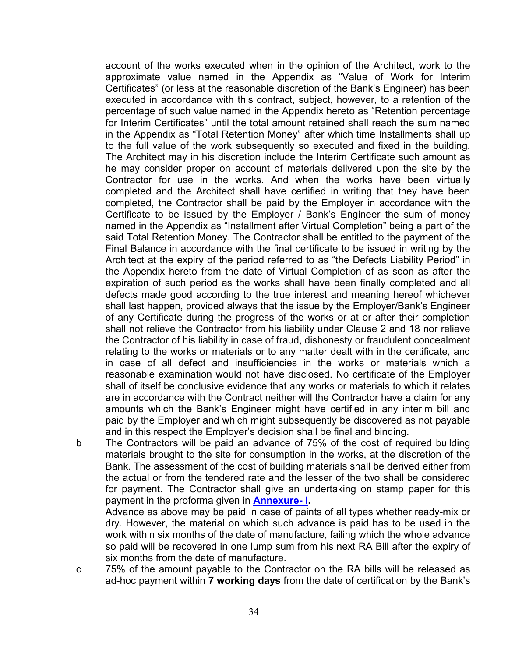account of the works executed when in the opinion of the Architect, work to the approximate value named in the Appendix as "Value of Work for Interim Certificates" (or less at the reasonable discretion of the Bank's Engineer) has been executed in accordance with this contract, subject, however, to a retention of the percentage of such value named in the Appendix hereto as "Retention percentage for Interim Certificates" until the total amount retained shall reach the sum named in the Appendix as "Total Retention Money" after which time Installments shall up to the full value of the work subsequently so executed and fixed in the building. The Architect may in his discretion include the Interim Certificate such amount as he may consider proper on account of materials delivered upon the site by the Contractor for use in the works. And when the works have been virtually completed and the Architect shall have certified in writing that they have been completed, the Contractor shall be paid by the Employer in accordance with the Certificate to be issued by the Employer / Bank's Engineer the sum of money named in the Appendix as "Installment after Virtual Completion" being a part of the said Total Retention Money. The Contractor shall be entitled to the payment of the Final Balance in accordance with the final certificate to be issued in writing by the Architect at the expiry of the period referred to as "the Defects Liability Period" in the Appendix hereto from the date of Virtual Completion of as soon as after the expiration of such period as the works shall have been finally completed and all defects made good according to the true interest and meaning hereof whichever shall last happen, provided always that the issue by the Employer/Bank's Engineer of any Certificate during the progress of the works or at or after their completion shall not relieve the Contractor from his liability under Clause 2 and 18 nor relieve the Contractor of his liability in case of fraud, dishonesty or fraudulent concealment relating to the works or materials or to any matter dealt with in the certificate, and in case of all defect and insufficiencies in the works or materials which a reasonable examination would not have disclosed. No certificate of the Employer shall of itself be conclusive evidence that any works or materials to which it relates are in accordance with the Contract neither will the Contractor have a claim for any amounts which the Bank's Engineer might have certified in any interim bill and paid by the Employer and which might subsequently be discovered as not payable and in this respect the Employer's decision shall be final and binding.

b The Contractors will be paid an advance of 75% of the cost of required building materials brought to the site for consumption in the works, at the discretion of the Bank. The assessment of the cost of building materials shall be derived either from the actual or from the tendered rate and the lesser of the two shall be considered for payment. The Contractor shall give an undertaking on stamp paper for this payment in the proforma given in **[Annexure-](#page-47-0) I.**

Advance as above may be paid in case of paints of all types whether ready-mix or dry. However, the material on which such advance is paid has to be used in the work within six months of the date of manufacture, failing which the whole advance so paid will be recovered in one lump sum from his next RA Bill after the expiry of six months from the date of manufacture.

c 75% of the amount payable to the Contractor on the RA bills will be released as ad-hoc payment within **7 working days** from the date of certification by the Bank's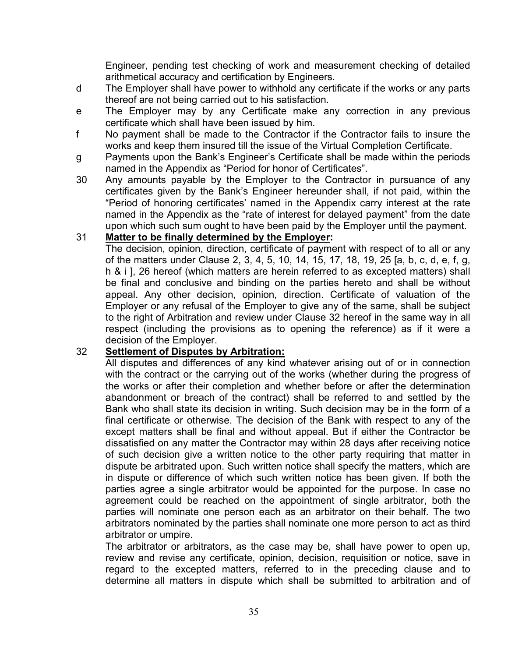Engineer, pending test checking of work and measurement checking of detailed arithmetical accuracy and certification by Engineers.

- d The Employer shall have power to withhold any certificate if the works or any parts thereof are not being carried out to his satisfaction.
- e The Employer may by any Certificate make any correction in any previous certificate which shall have been issued by him.
- f No payment shall be made to the Contractor if the Contractor fails to insure the works and keep them insured till the issue of the Virtual Completion Certificate.
- g Payments upon the Bank's Engineer's Certificate shall be made within the periods named in the Appendix as "Period for honor of Certificates".
- 30 Any amounts payable by the Employer to the Contractor in pursuance of any certificates given by the Bank's Engineer hereunder shall, if not paid, within the "Period of honoring certificates' named in the Appendix carry interest at the rate named in the Appendix as the "rate of interest for delayed payment" from the date upon which such sum ought to have been paid by the Employer until the payment.

#### 31 **Matter to be finally determined by the Employer:**

The decision, opinion, direction, certificate of payment with respect of to all or any of the matters under Clause 2, 3, 4, 5, 10, 14, 15, 17, 18, 19, 25 [a, b, c, d, e, f, g, h & i ], 26 hereof (which matters are herein referred to as excepted matters) shall be final and conclusive and binding on the parties hereto and shall be without appeal. Any other decision, opinion, direction. Certificate of valuation of the Employer or any refusal of the Employer to give any of the same, shall be subject to the right of Arbitration and review under Clause 32 hereof in the same way in all respect (including the provisions as to opening the reference) as if it were a decision of the Employer.

#### 32 **Settlement of Disputes by Arbitration:**

All disputes and differences of any kind whatever arising out of or in connection with the contract or the carrying out of the works (whether during the progress of the works or after their completion and whether before or after the determination abandonment or breach of the contract) shall be referred to and settled by the Bank who shall state its decision in writing. Such decision may be in the form of a final certificate or otherwise. The decision of the Bank with respect to any of the except matters shall be final and without appeal. But if either the Contractor be dissatisfied on any matter the Contractor may within 28 days after receiving notice of such decision give a written notice to the other party requiring that matter in dispute be arbitrated upon. Such written notice shall specify the matters, which are in dispute or difference of which such written notice has been given. If both the parties agree a single arbitrator would be appointed for the purpose. In case no agreement could be reached on the appointment of single arbitrator, both the parties will nominate one person each as an arbitrator on their behalf. The two arbitrators nominated by the parties shall nominate one more person to act as third arbitrator or umpire.

The arbitrator or arbitrators, as the case may be, shall have power to open up, review and revise any certificate, opinion, decision, requisition or notice, save in regard to the excepted matters, referred to in the preceding clause and to determine all matters in dispute which shall be submitted to arbitration and of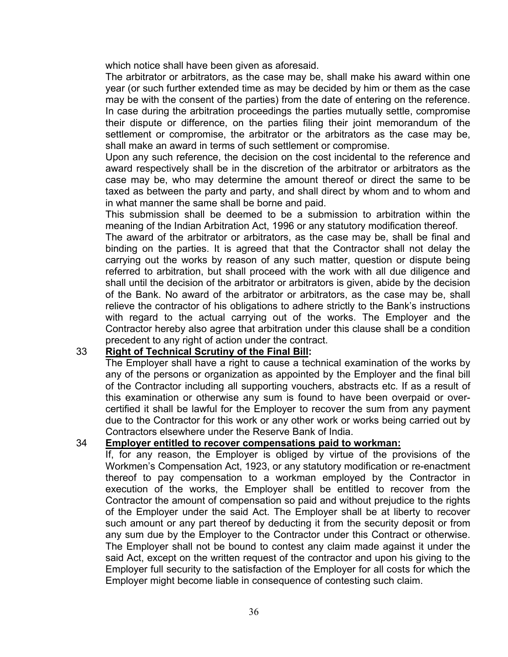which notice shall have been given as aforesaid.

The arbitrator or arbitrators, as the case may be, shall make his award within one year (or such further extended time as may be decided by him or them as the case may be with the consent of the parties) from the date of entering on the reference. In case during the arbitration proceedings the parties mutually settle, compromise their dispute or difference, on the parties filing their joint memorandum of the settlement or compromise, the arbitrator or the arbitrators as the case may be, shall make an award in terms of such settlement or compromise.

Upon any such reference, the decision on the cost incidental to the reference and award respectively shall be in the discretion of the arbitrator or arbitrators as the case may be, who may determine the amount thereof or direct the same to be taxed as between the party and party, and shall direct by whom and to whom and in what manner the same shall be borne and paid.

This submission shall be deemed to be a submission to arbitration within the meaning of the Indian Arbitration Act, 1996 or any statutory modification thereof.

The award of the arbitrator or arbitrators, as the case may be, shall be final and binding on the parties. It is agreed that that the Contractor shall not delay the carrying out the works by reason of any such matter, question or dispute being referred to arbitration, but shall proceed with the work with all due diligence and shall until the decision of the arbitrator or arbitrators is given, abide by the decision of the Bank. No award of the arbitrator or arbitrators, as the case may be, shall relieve the contractor of his obligations to adhere strictly to the Bank's instructions with regard to the actual carrying out of the works. The Employer and the Contractor hereby also agree that arbitration under this clause shall be a condition precedent to any right of action under the contract.

#### 33 **Right of Technical Scrutiny of the Final Bill:**

The Employer shall have a right to cause a technical examination of the works by any of the persons or organization as appointed by the Employer and the final bill of the Contractor including all supporting vouchers, abstracts etc. If as a result of this examination or otherwise any sum is found to have been overpaid or overcertified it shall be lawful for the Employer to recover the sum from any payment due to the Contractor for this work or any other work or works being carried out by Contractors elsewhere under the Reserve Bank of India.

#### 34 **Employer entitled to recover compensations paid to workman:**

If, for any reason, the Employer is obliged by virtue of the provisions of the Workmen's Compensation Act, 1923, or any statutory modification or re-enactment thereof to pay compensation to a workman employed by the Contractor in execution of the works, the Employer shall be entitled to recover from the Contractor the amount of compensation so paid and without prejudice to the rights of the Employer under the said Act. The Employer shall be at liberty to recover such amount or any part thereof by deducting it from the security deposit or from any sum due by the Employer to the Contractor under this Contract or otherwise. The Employer shall not be bound to contest any claim made against it under the said Act, except on the written request of the contractor and upon his giving to the Employer full security to the satisfaction of the Employer for all costs for which the Employer might become liable in consequence of contesting such claim.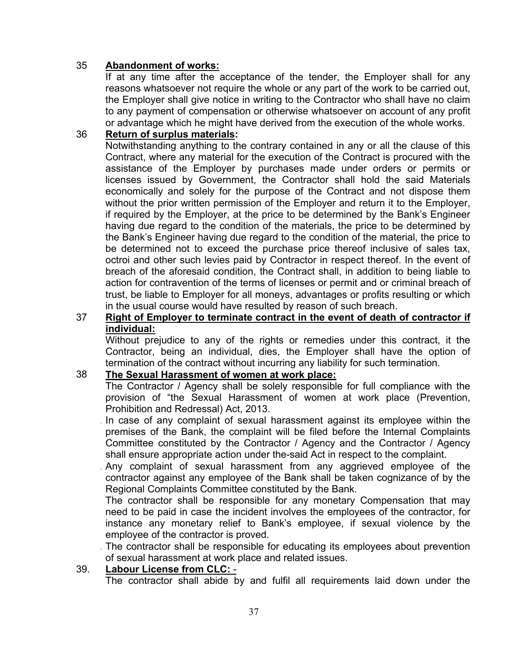#### 35 **Abandonment of works:**

If at any time after the acceptance of the tender, the Employer shall for any reasons whatsoever not require the whole or any part of the work to be carried out, the Employer shall give notice in writing to the Contractor who shall have no claim to any payment of compensation or otherwise whatsoever on account of any profit or advantage which he might have derived from the execution of the whole works.

#### 36 **Return of surplus materials:**

Notwithstanding anything to the contrary contained in any or all the clause of this Contract, where any material for the execution of the Contract is procured with the assistance of the Employer by purchases made under orders or permits or licenses issued by Government, the Contractor shall hold the said Materials economically and solely for the purpose of the Contract and not dispose them without the prior written permission of the Employer and return it to the Employer, if required by the Employer, at the price to be determined by the Bank's Engineer having due regard to the condition of the materials, the price to be determined by the Bank's Engineer having due regard to the condition of the material, the price to be determined not to exceed the purchase price thereof inclusive of sales tax, octroi and other such levies paid by Contractor in respect thereof. In the event of breach of the aforesaid condition, the Contract shall, in addition to being liable to action for contravention of the terms of licenses or permit and or criminal breach of trust, be liable to Employer for all moneys, advantages or profits resulting or which in the usual course would have resulted by reason of such breach.

#### 37 **Right of Employer to terminate contract in the event of death of contractor if individual:**

Without prejudice to any of the rights or remedies under this contract, it the Contractor, being an individual, dies, the Employer shall have the option of termination of the contract without incurring any liability for such termination.

#### 38 **The Sexual Harassment of women at work place:**

The Contractor / Agency shall be solely responsible for full compliance with the provision of "the Sexual Harassment of women at work place (Prevention, Prohibition and Redressal) Act, 2013.

. In case of any complaint of sexual harassment against its employee within the premises of the Bank, the complaint will be filed before the Internal Complaints Committee constituted by the Contractor / Agency and the Contractor / Agency shall ensure appropriate action under the-said Act in respect to the complaint.

. Any complaint of sexual harassment from any aggrieved employee of the contractor against any employee of the Bank shall be taken cognizance of by the Regional Complaints Committee constituted by the Bank.

The contractor shall be responsible for any monetary Compensation that may need to be paid in case the incident involves the employees of the contractor, for instance any monetary relief to Bank's employee, if sexual violence by the employee of the contractor is proved.

. The contractor shall be responsible for educating its employees about prevention of sexual harassment at work place and related issues.

#### 39. **Labour License from CLC:** -

The contractor shall abide by and fulfil all requirements laid down under the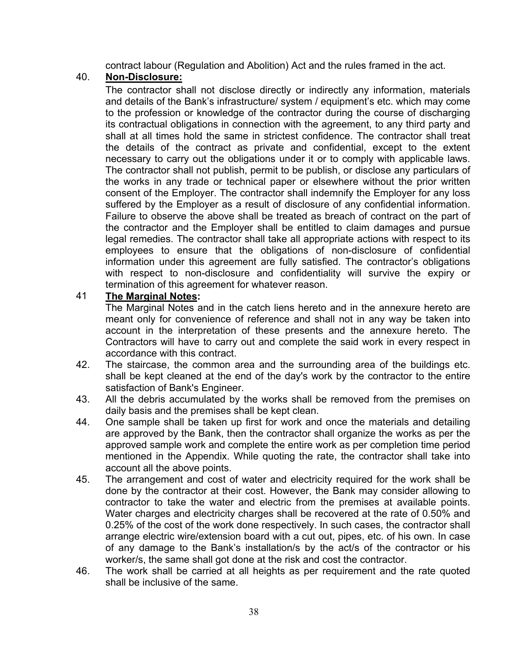contract labour (Regulation and Abolition) Act and the rules framed in the act.

#### 40. **Non-Disclosure:**

The contractor shall not disclose directly or indirectly any information, materials and details of the Bank's infrastructure/ system / equipment's etc. which may come to the profession or knowledge of the contractor during the course of discharging its contractual obligations in connection with the agreement, to any third party and shall at all times hold the same in strictest confidence. The contractor shall treat the details of the contract as private and confidential, except to the extent necessary to carry out the obligations under it or to comply with applicable laws. The contractor shall not publish, permit to be publish, or disclose any particulars of the works in any trade or technical paper or elsewhere without the prior written consent of the Employer. The contractor shall indemnify the Employer for any loss suffered by the Employer as a result of disclosure of any confidential information. Failure to observe the above shall be treated as breach of contract on the part of the contractor and the Employer shall be entitled to claim damages and pursue legal remedies. The contractor shall take all appropriate actions with respect to its employees to ensure that the obligations of non-disclosure of confidential information under this agreement are fully satisfied. The contractor's obligations with respect to non-disclosure and confidentiality will survive the expiry or termination of this agreement for whatever reason.

#### 41 **The Marginal Notes:**

The Marginal Notes and in the catch liens hereto and in the annexure hereto are meant only for convenience of reference and shall not in any way be taken into account in the interpretation of these presents and the annexure hereto. The Contractors will have to carry out and complete the said work in every respect in accordance with this contract.

- 42. The staircase, the common area and the surrounding area of the buildings etc. shall be kept cleaned at the end of the day's work by the contractor to the entire satisfaction of Bank's Engineer.
- 43. All the debris accumulated by the works shall be removed from the premises on daily basis and the premises shall be kept clean.
- 44. One sample shall be taken up first for work and once the materials and detailing are approved by the Bank, then the contractor shall organize the works as per the approved sample work and complete the entire work as per completion time period mentioned in the Appendix. While quoting the rate, the contractor shall take into account all the above points.
- 45. The arrangement and cost of water and electricity required for the work shall be done by the contractor at their cost. However, the Bank may consider allowing to contractor to take the water and electric from the premises at available points. Water charges and electricity charges shall be recovered at the rate of 0.50% and 0.25% of the cost of the work done respectively. In such cases, the contractor shall arrange electric wire/extension board with a cut out, pipes, etc. of his own. In case of any damage to the Bank's installation/s by the act/s of the contractor or his worker/s, the same shall got done at the risk and cost the contractor.
- 46. The work shall be carried at all heights as per requirement and the rate quoted shall be inclusive of the same.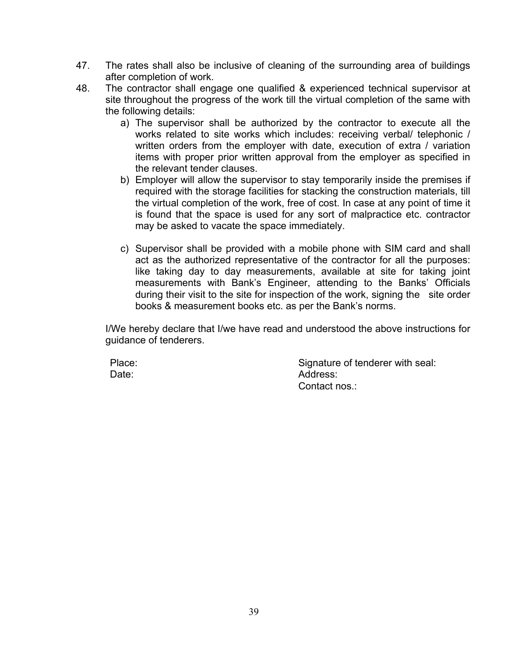- 47. The rates shall also be inclusive of cleaning of the surrounding area of buildings after completion of work.
- 48. The contractor shall engage one qualified & experienced technical supervisor at site throughout the progress of the work till the virtual completion of the same with the following details:
	- a) The supervisor shall be authorized by the contractor to execute all the works related to site works which includes: receiving verbal/ telephonic / written orders from the employer with date, execution of extra / variation items with proper prior written approval from the employer as specified in the relevant tender clauses.
	- b) Employer will allow the supervisor to stay temporarily inside the premises if required with the storage facilities for stacking the construction materials, till the virtual completion of the work, free of cost. In case at any point of time it is found that the space is used for any sort of malpractice etc. contractor may be asked to vacate the space immediately.
	- c) Supervisor shall be provided with a mobile phone with SIM card and shall act as the authorized representative of the contractor for all the purposes: like taking day to day measurements, available at site for taking joint measurements with Bank's Engineer, attending to the Banks' Officials during their visit to the site for inspection of the work, signing the site order books & measurement books etc. as per the Bank's norms.

I/We hereby declare that I/we have read and understood the above instructions for guidance of tenderers.

Date:

Place: Place: Signature of tenderer with seal: Address: Contact nos.: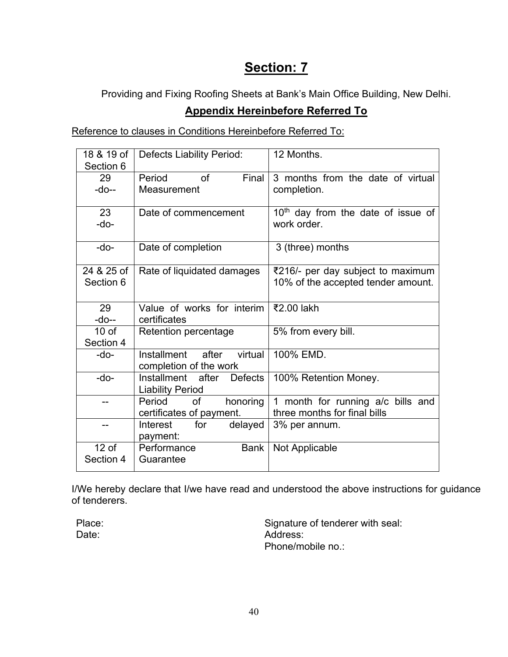# **Section: 7**

Providing and Fixing Roofing Sheets at Bank's Main Office Building, New Delhi.

# **Appendix Hereinbefore Referred To**

Reference to clauses in Conditions Hereinbefore Referred To:

| 18 & 19 of<br>Section 6 | <b>Defects Liability Period:</b>                               | 12 Months.                           |  |  |
|-------------------------|----------------------------------------------------------------|--------------------------------------|--|--|
| 29                      | of<br>Final<br>Period                                          | 3 months from the date of virtual    |  |  |
| $-do-$                  | Measurement                                                    | completion.                          |  |  |
| 23                      | Date of commencement                                           | $10th$ day from the date of issue of |  |  |
| $-do-$                  |                                                                | work order.                          |  |  |
| -do-                    | Date of completion                                             | 3 (three) months                     |  |  |
| 24 & 25 of              | Rate of liquidated damages                                     | ₹216/- per day subject to maximum    |  |  |
| Section 6               |                                                                | 10% of the accepted tender amount.   |  |  |
| 29                      | Value of works for interim                                     | ₹2.00 lakh                           |  |  |
| -do--                   | certificates                                                   |                                      |  |  |
| 10 <sub>of</sub>        | Retention percentage                                           | 5% from every bill.                  |  |  |
| Section 4               |                                                                |                                      |  |  |
| -do-                    | virtual<br>Installment<br>after<br>completion of the work      | 100% EMD.                            |  |  |
| $-do-$                  | <b>Defects</b><br>Installment after<br><b>Liability Period</b> | 100% Retention Money.                |  |  |
| --                      | honoring<br>Period<br>of                                       | 1 month for running a/c bills and    |  |  |
|                         | certificates of payment.                                       | three months for final bills         |  |  |
| --                      | for<br>Interest<br>delayed                                     | 3% per annum.                        |  |  |
|                         | payment:                                                       |                                      |  |  |
| $12$ of                 | Performance<br><b>Bank</b>                                     | Not Applicable                       |  |  |
| Section 4               | Guarantee                                                      |                                      |  |  |

I/We hereby declare that I/we have read and understood the above instructions for guidance of tenderers.

Date:

Place: Place: Place: Signature of tenderer with seal: Address: Phone/mobile no.: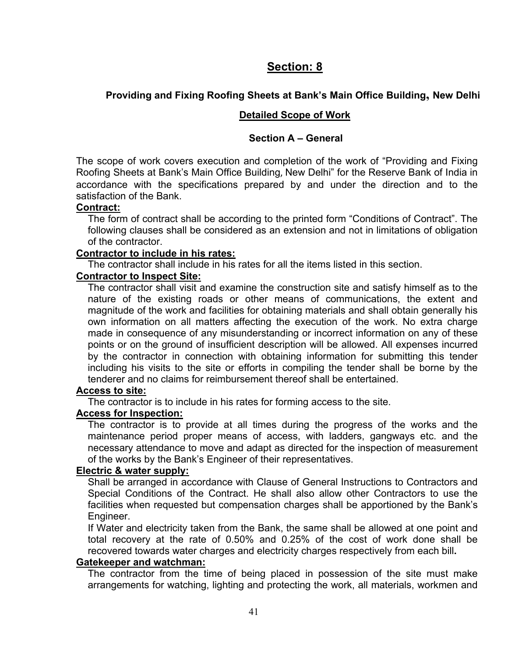# **Section: 8**

### **Providing and Fixing Roofing Sheets at Bank's Main Office Building, New Delhi**

#### **Detailed Scope of Work**

#### **Section A – General**

The scope of work covers execution and completion of the work of "Providing and Fixing Roofing Sheets at Bank's Main Office Building, New Delhi" for the Reserve Bank of India in accordance with the specifications prepared by and under the direction and to the satisfaction of the Bank.

#### **Contract:**

The form of contract shall be according to the printed form "Conditions of Contract". The following clauses shall be considered as an extension and not in limitations of obligation of the contractor.

#### **Contractor to include in his rates:**

The contractor shall include in his rates for all the items listed in this section.

#### **Contractor to Inspect Site:**

The contractor shall visit and examine the construction site and satisfy himself as to the nature of the existing roads or other means of communications, the extent and magnitude of the work and facilities for obtaining materials and shall obtain generally his own information on all matters affecting the execution of the work. No extra charge made in consequence of any misunderstanding or incorrect information on any of these points or on the ground of insufficient description will be allowed. All expenses incurred by the contractor in connection with obtaining information for submitting this tender including his visits to the site or efforts in compiling the tender shall be borne by the tenderer and no claims for reimbursement thereof shall be entertained.

#### **Access to site:**

The contractor is to include in his rates for forming access to the site.

#### **Access for Inspection:**

The contractor is to provide at all times during the progress of the works and the maintenance period proper means of access, with ladders, gangways etc. and the necessary attendance to move and adapt as directed for the inspection of measurement of the works by the Bank's Engineer of their representatives.

#### **Electric & water supply:**

Shall be arranged in accordance with Clause of General Instructions to Contractors and Special Conditions of the Contract. He shall also allow other Contractors to use the facilities when requested but compensation charges shall be apportioned by the Bank's Engineer.

If Water and electricity taken from the Bank, the same shall be allowed at one point and total recovery at the rate of 0.50% and 0.25% of the cost of work done shall be recovered towards water charges and electricity charges respectively from each bill**.**

#### **Gatekeeper and watchman:**

The contractor from the time of being placed in possession of the site must make arrangements for watching, lighting and protecting the work, all materials, workmen and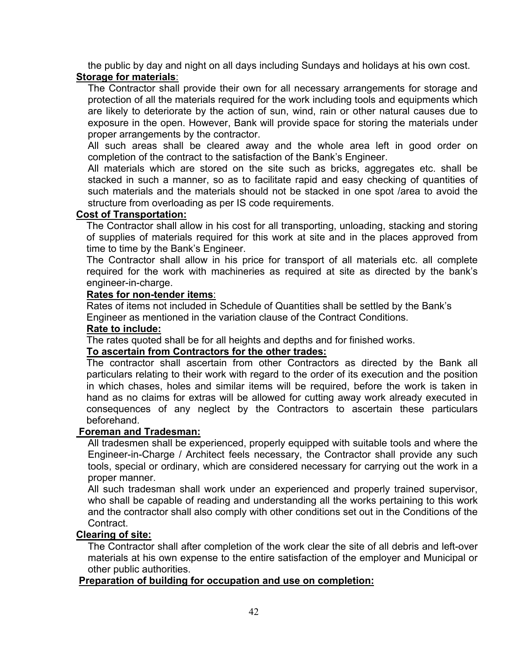the public by day and night on all days including Sundays and holidays at his own cost. **Storage for materials**:

The Contractor shall provide their own for all necessary arrangements for storage and protection of all the materials required for the work including tools and equipments which are likely to deteriorate by the action of sun, wind, rain or other natural causes due to exposure in the open. However, Bank will provide space for storing the materials under proper arrangements by the contractor.

All such areas shall be cleared away and the whole area left in good order on completion of the contract to the satisfaction of the Bank's Engineer.

All materials which are stored on the site such as bricks, aggregates etc. shall be stacked in such a manner, so as to facilitate rapid and easy checking of quantities of such materials and the materials should not be stacked in one spot /area to avoid the structure from overloading as per IS code requirements.

#### **Cost of Transportation:**

The Contractor shall allow in his cost for all transporting, unloading, stacking and storing of supplies of materials required for this work at site and in the places approved from time to time by the Bank's Engineer.

The Contractor shall allow in his price for transport of all materials etc. all complete required for the work with machineries as required at site as directed by the bank's engineer-in-charge.

#### **Rates for non-tender items**:

Rates of items not included in Schedule of Quantities shall be settled by the Bank's Engineer as mentioned in the variation clause of the Contract Conditions.

#### **Rate to include:**

The rates quoted shall be for all heights and depths and for finished works.

#### **To ascertain from Contractors for the other trades:**

The contractor shall ascertain from other Contractors as directed by the Bank all particulars relating to their work with regard to the order of its execution and the position in which chases, holes and similar items will be required, before the work is taken in hand as no claims for extras will be allowed for cutting away work already executed in consequences of any neglect by the Contractors to ascertain these particulars beforehand.

#### **Foreman and Tradesman:**

All tradesmen shall be experienced, properly equipped with suitable tools and where the Engineer-in-Charge / Architect feels necessary, the Contractor shall provide any such tools, special or ordinary, which are considered necessary for carrying out the work in a proper manner.

All such tradesman shall work under an experienced and properly trained supervisor, who shall be capable of reading and understanding all the works pertaining to this work and the contractor shall also comply with other conditions set out in the Conditions of the Contract.

#### **Clearing of site:**

The Contractor shall after completion of the work clear the site of all debris and left-over materials at his own expense to the entire satisfaction of the employer and Municipal or other public authorities.

#### **Preparation of building for occupation and use on completion:**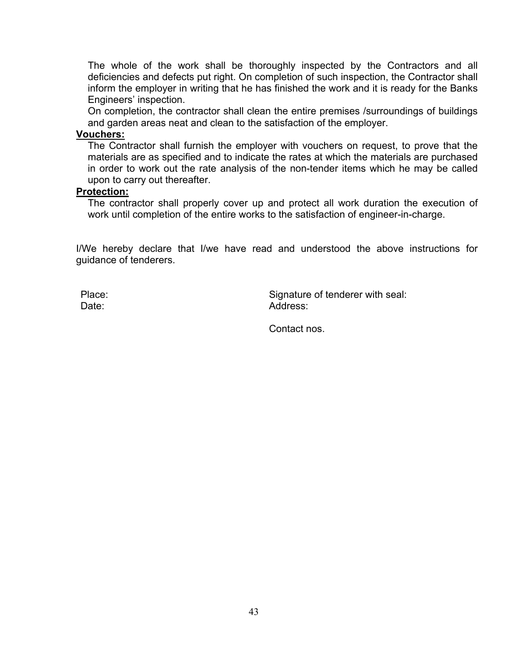The whole of the work shall be thoroughly inspected by the Contractors and all deficiencies and defects put right. On completion of such inspection, the Contractor shall inform the employer in writing that he has finished the work and it is ready for the Banks Engineers' inspection.

On completion, the contractor shall clean the entire premises /surroundings of buildings and garden areas neat and clean to the satisfaction of the employer.

#### **Vouchers:**

The Contractor shall furnish the employer with vouchers on request, to prove that the materials are as specified and to indicate the rates at which the materials are purchased in order to work out the rate analysis of the non-tender items which he may be called upon to carry out thereafter.

#### **Protection:**

The contractor shall properly cover up and protect all work duration the execution of work until completion of the entire works to the satisfaction of engineer-in-charge.

I/We hereby declare that I/we have read and understood the above instructions for guidance of tenderers.

Date:

Place: Place: Signature of tenderer with seal: Address:

Contact nos.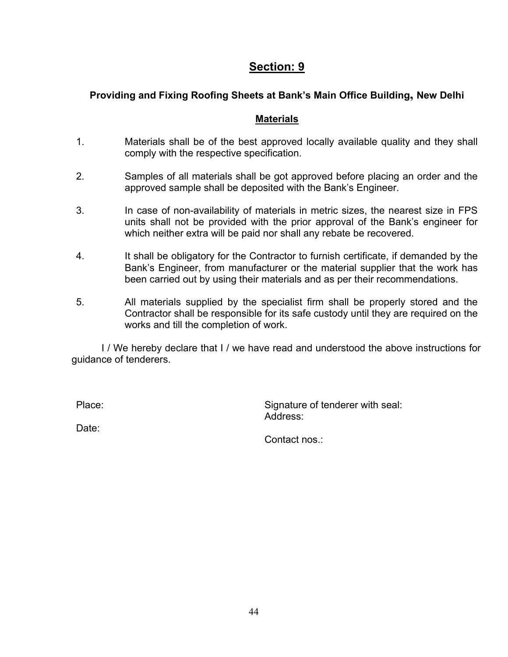# **Section: 9**

# **Providing and Fixing Roofing Sheets at Bank's Main Office Building, New Delhi**

#### **Materials**

- 1. Materials shall be of the best approved locally available quality and they shall comply with the respective specification.
- 2. Samples of all materials shall be got approved before placing an order and the approved sample shall be deposited with the Bank's Engineer.
- 3. In case of non-availability of materials in metric sizes, the nearest size in FPS units shall not be provided with the prior approval of the Bank's engineer for which neither extra will be paid nor shall any rebate be recovered.
- 4. It shall be obligatory for the Contractor to furnish certificate, if demanded by the Bank's Engineer, from manufacturer or the material supplier that the work has been carried out by using their materials and as per their recommendations.
- 5. All materials supplied by the specialist firm shall be properly stored and the Contractor shall be responsible for its safe custody until they are required on the works and till the completion of work.

I / We hereby declare that I / we have read and understood the above instructions for guidance of tenderers.

Place: Place: Signature of tenderer with seal: Address:

Date:

Contact nos.: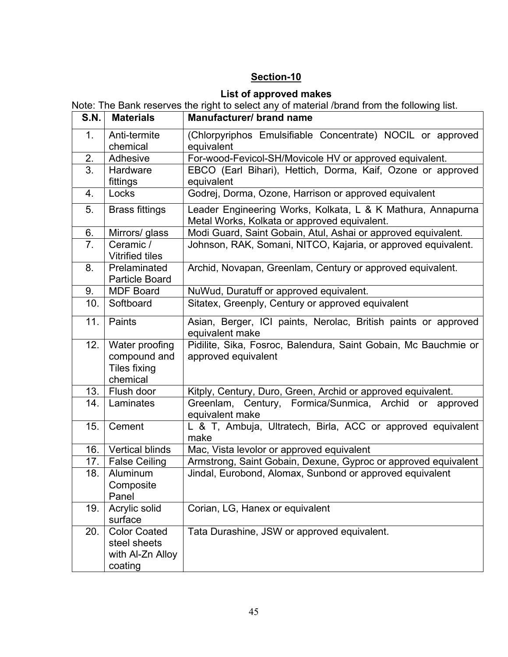# **Section-10**

# **List of approved makes**

|      |                                                                   | Note: The Bank reserves the right to select any of material /brand from the following list.                 |  |  |
|------|-------------------------------------------------------------------|-------------------------------------------------------------------------------------------------------------|--|--|
| S.N. | <b>Materials</b>                                                  | Manufacturer/ brand name                                                                                    |  |  |
| 1.   | Anti-termite                                                      | (Chlorpyriphos Emulsifiable Concentrate) NOCIL or approved                                                  |  |  |
|      | chemical                                                          | equivalent                                                                                                  |  |  |
| 2.   | Adhesive                                                          | For-wood-Fevicol-SH/Movicole HV or approved equivalent.                                                     |  |  |
| 3.   | Hardware                                                          | EBCO (Earl Bihari), Hettich, Dorma, Kaif, Ozone or approved                                                 |  |  |
|      | fittings                                                          | equivalent                                                                                                  |  |  |
| 4.   | Locks                                                             | Godrej, Dorma, Ozone, Harrison or approved equivalent                                                       |  |  |
| 5.   | <b>Brass fittings</b>                                             | Leader Engineering Works, Kolkata, L & K Mathura, Annapurna<br>Metal Works, Kolkata or approved equivalent. |  |  |
| 6.   | Mirrors/ glass                                                    | Modi Guard, Saint Gobain, Atul, Ashai or approved equivalent.                                               |  |  |
| 7.   | Ceramic /<br><b>Vitrified tiles</b>                               | Johnson, RAK, Somani, NITCO, Kajaria, or approved equivalent.                                               |  |  |
| 8.   | Prelaminated<br><b>Particle Board</b>                             | Archid, Novapan, Greenlam, Century or approved equivalent.                                                  |  |  |
| 9.   | <b>MDF Board</b>                                                  | NuWud, Duratuff or approved equivalent.                                                                     |  |  |
| 10.  | Softboard                                                         | Sitatex, Greenply, Century or approved equivalent                                                           |  |  |
| 11.  | Paints                                                            | Asian, Berger, ICI paints, Nerolac, British paints or approved<br>equivalent make                           |  |  |
| 12.  | Water proofing<br>compound and<br><b>Tiles fixing</b><br>chemical | Pidilite, Sika, Fosroc, Balendura, Saint Gobain, Mc Bauchmie or<br>approved equivalent                      |  |  |
| 13.  | Flush door                                                        | Kitply, Century, Duro, Green, Archid or approved equivalent.                                                |  |  |
| 14.  | Laminates                                                         | Greenlam, Century, Formica/Sunmica, Archid or approved<br>equivalent make                                   |  |  |
| 15.  | Cement                                                            | L & T, Ambuja, Ultratech, Birla, ACC or approved equivalent<br>make                                         |  |  |
| 16.  | <b>Vertical blinds</b>                                            | Mac, Vista levolor or approved equivalent                                                                   |  |  |
| 17.  | <b>False Ceiling</b>                                              | Armstrong, Saint Gobain, Dexune, Gyproc or approved equivalent                                              |  |  |
| 18.  | Aluminum                                                          | Jindal, Eurobond, Alomax, Sunbond or approved equivalent                                                    |  |  |
|      | Composite                                                         |                                                                                                             |  |  |
|      | Panel                                                             |                                                                                                             |  |  |
| 19.  | Acrylic solid<br>surface                                          | Corian, LG, Hanex or equivalent                                                                             |  |  |
| 20.  | <b>Color Coated</b>                                               | Tata Durashine, JSW or approved equivalent.                                                                 |  |  |
|      | steel sheets                                                      |                                                                                                             |  |  |
|      | with Al-Zn Alloy                                                  |                                                                                                             |  |  |
|      | coating                                                           |                                                                                                             |  |  |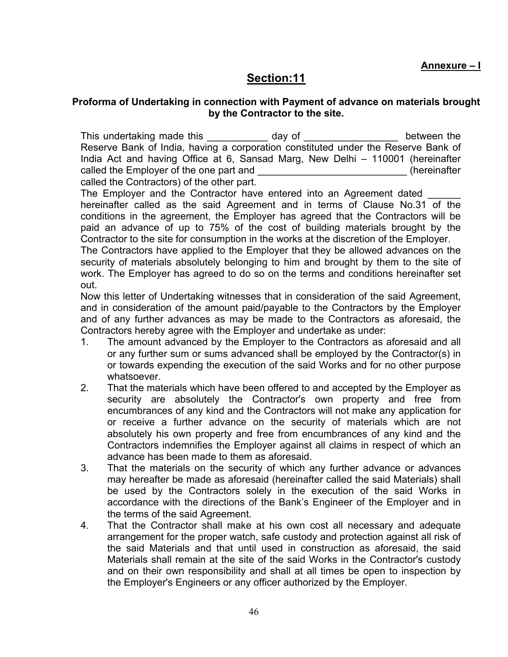**Annexure – I**

# **Section:11**

#### <span id="page-47-0"></span>**Proforma of Undertaking in connection with Payment of advance on materials brought by the Contractor to the site.**

This undertaking made this equal to day of the set of the between the Reserve Bank of India, having a corporation constituted under the Reserve Bank of India Act and having Office at 6, Sansad Marg, New Delhi – 110001 (hereinafter called the Employer of the one part and  $\Box$  (hereinafter called the Contractors) of the other part.

The Employer and the Contractor have entered into an Agreement dated hereinafter called as the said Agreement and in terms of Clause No.31 of the conditions in the agreement, the Employer has agreed that the Contractors will be paid an advance of up to 75% of the cost of building materials brought by the Contractor to the site for consumption in the works at the discretion of the Employer.

The Contractors have applied to the Employer that they be allowed advances on the security of materials absolutely belonging to him and brought by them to the site of work. The Employer has agreed to do so on the terms and conditions hereinafter set out.

Now this letter of Undertaking witnesses that in consideration of the said Agreement, and in consideration of the amount paid/payable to the Contractors by the Employer and of any further advances as may be made to the Contractors as aforesaid, the Contractors hereby agree with the Employer and undertake as under:

- 1. The amount advanced by the Employer to the Contractors as aforesaid and all or any further sum or sums advanced shall be employed by the Contractor(s) in or towards expending the execution of the said Works and for no other purpose whatsoever.
- 2. That the materials which have been offered to and accepted by the Employer as security are absolutely the Contractor's own property and free from encumbrances of any kind and the Contractors will not make any application for or receive a further advance on the security of materials which are not absolutely his own property and free from encumbrances of any kind and the Contractors indemnifies the Employer against all claims in respect of which an advance has been made to them as aforesaid.
- 3. That the materials on the security of which any further advance or advances may hereafter be made as aforesaid (hereinafter called the said Materials) shall be used by the Contractors solely in the execution of the said Works in accordance with the directions of the Bank's Engineer of the Employer and in the terms of the said Agreement.
- 4. That the Contractor shall make at his own cost all necessary and adequate arrangement for the proper watch, safe custody and protection against all risk of the said Materials and that until used in construction as aforesaid, the said Materials shall remain at the site of the said Works in the Contractor's custody and on their own responsibility and shall at all times be open to inspection by the Employer's Engineers or any officer authorized by the Employer.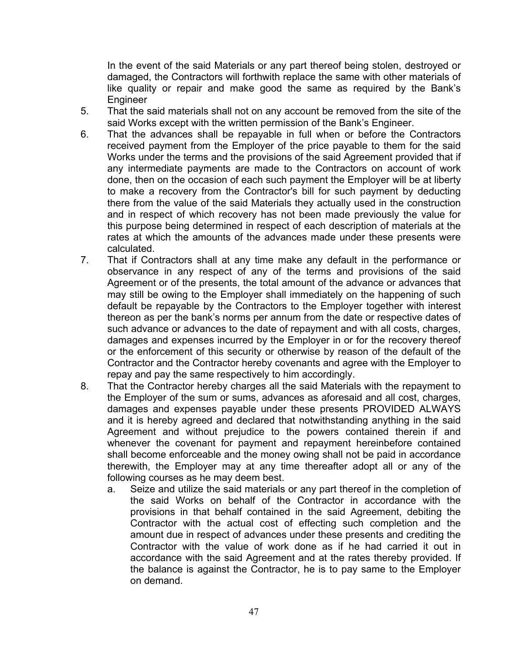In the event of the said Materials or any part thereof being stolen, destroyed or damaged, the Contractors will forthwith replace the same with other materials of like quality or repair and make good the same as required by the Bank's Engineer

- 5. That the said materials shall not on any account be removed from the site of the said Works except with the written permission of the Bank's Engineer.
- 6. That the advances shall be repayable in full when or before the Contractors received payment from the Employer of the price payable to them for the said Works under the terms and the provisions of the said Agreement provided that if any intermediate payments are made to the Contractors on account of work done, then on the occasion of each such payment the Employer will be at liberty to make a recovery from the Contractor's bill for such payment by deducting there from the value of the said Materials they actually used in the construction and in respect of which recovery has not been made previously the value for this purpose being determined in respect of each description of materials at the rates at which the amounts of the advances made under these presents were calculated.
- 7. That if Contractors shall at any time make any default in the performance or observance in any respect of any of the terms and provisions of the said Agreement or of the presents, the total amount of the advance or advances that may still be owing to the Employer shall immediately on the happening of such default be repayable by the Contractors to the Employer together with interest thereon as per the bank's norms per annum from the date or respective dates of such advance or advances to the date of repayment and with all costs, charges, damages and expenses incurred by the Employer in or for the recovery thereof or the enforcement of this security or otherwise by reason of the default of the Contractor and the Contractor hereby covenants and agree with the Employer to repay and pay the same respectively to him accordingly.
- 8. That the Contractor hereby charges all the said Materials with the repayment to the Employer of the sum or sums, advances as aforesaid and all cost, charges, damages and expenses payable under these presents PROVIDED ALWAYS and it is hereby agreed and declared that notwithstanding anything in the said Agreement and without prejudice to the powers contained therein if and whenever the covenant for payment and repayment hereinbefore contained shall become enforceable and the money owing shall not be paid in accordance therewith, the Employer may at any time thereafter adopt all or any of the following courses as he may deem best.
	- a. Seize and utilize the said materials or any part thereof in the completion of the said Works on behalf of the Contractor in accordance with the provisions in that behalf contained in the said Agreement, debiting the Contractor with the actual cost of effecting such completion and the amount due in respect of advances under these presents and crediting the Contractor with the value of work done as if he had carried it out in accordance with the said Agreement and at the rates thereby provided. If the balance is against the Contractor, he is to pay same to the Employer on demand.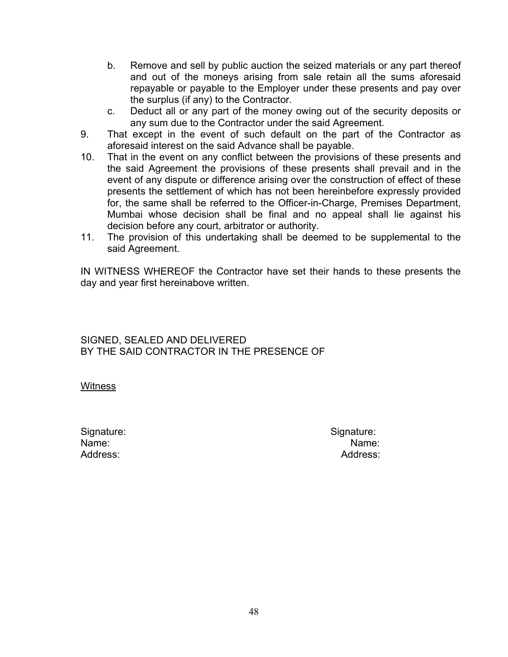- b. Remove and sell by public auction the seized materials or any part thereof and out of the moneys arising from sale retain all the sums aforesaid repayable or payable to the Employer under these presents and pay over the surplus (if any) to the Contractor.
- c. Deduct all or any part of the money owing out of the security deposits or any sum due to the Contractor under the said Agreement.
- 9. That except in the event of such default on the part of the Contractor as aforesaid interest on the said Advance shall be payable.
- 10. That in the event on any conflict between the provisions of these presents and the said Agreement the provisions of these presents shall prevail and in the event of any dispute or difference arising over the construction of effect of these presents the settlement of which has not been hereinbefore expressly provided for, the same shall be referred to the Officer-in-Charge, Premises Department, Mumbai whose decision shall be final and no appeal shall lie against his decision before any court, arbitrator or authority.
- 11. The provision of this undertaking shall be deemed to be supplemental to the said Agreement.

IN WITNESS WHEREOF the Contractor have set their hands to these presents the day and year first hereinabove written.

SIGNED, SEALED AND DELIVERED BY THE SAID CONTRACTOR IN THE PRESENCE OF

**Witness** 

Signature: Signature: Signature: Signature: Signature: Signature: Signature: Signature: Signature: Signature: Signature: Signature: Signature: Signature: Signature: Signature: Signature: Signature: Signature: Signature: Si Name: Name:

Address: Address: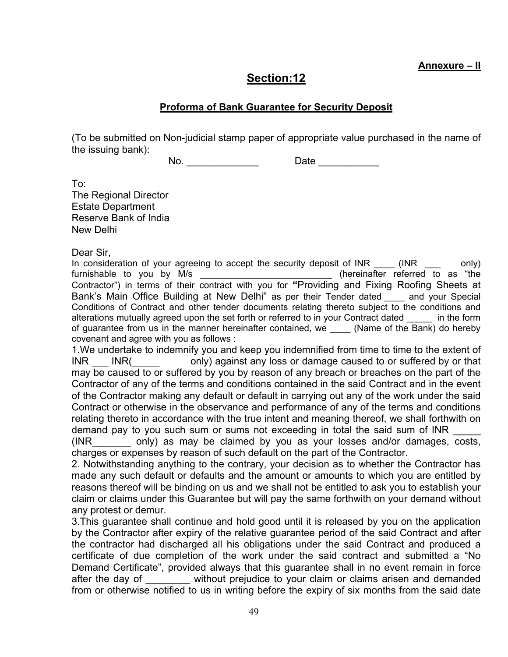**Annexure – II**

# **Section:12**

### **Proforma of Bank Guarantee for Security Deposit**

(To be submitted on Non-judicial stamp paper of appropriate value purchased in the name of the issuing bank):

No. \_\_\_\_\_\_\_\_\_\_\_\_\_\_\_\_\_\_\_\_ Date \_\_\_\_\_\_\_\_\_\_\_\_\_\_

To:

The Regional Director Estate Department Reserve Bank of India New Delhi

Dear Sir,

In consideration of your agreeing to accept the security deposit of INR (INR  $\qquad \qquad$  only) furnishable to you by M/s and the set of the set of the set of the furnishable to as "the furnishable to as  $\frac{1}{2}$ Contractor") in terms of their contract with you for **"**Providing and Fixing Roofing Sheets at Bank's Main Office Building at New Delhi" as per their Tender dated \_\_\_\_ and your Special Conditions of Contract and other tender documents relating thereto subject to the conditions and alterations mutually agreed upon the set forth or referred to in your Contract dated in the form of guarantee from us in the manner hereinafter contained, we (Name of the Bank) do hereby covenant and agree with you as follows :

1.We undertake to indemnify you and keep you indemnified from time to time to the extent of INR \_\_\_ INR(\_\_\_\_\_ only) against any loss or damage caused to or suffered by or that may be caused to or suffered by you by reason of any breach or breaches on the part of the Contractor of any of the terms and conditions contained in the said Contract and in the event of the Contractor making any default or default in carrying out any of the work under the said Contract or otherwise in the observance and performance of any of the terms and conditions relating thereto in accordance with the true intent and meaning thereof, we shall forthwith on demand pay to you such sum or sums not exceeding in total the said sum of INR \_\_\_\_\_

(INR\_\_\_\_\_\_\_ only) as may be claimed by you as your losses and/or damages, costs, charges or expenses by reason of such default on the part of the Contractor.

2. Notwithstanding anything to the contrary, your decision as to whether the Contractor has made any such default or defaults and the amount or amounts to which you are entitled by reasons thereof will be binding on us and we shall not be entitled to ask you to establish your claim or claims under this Guarantee but will pay the same forthwith on your demand without any protest or demur.

3.This guarantee shall continue and hold good until it is released by you on the application by the Contractor after expiry of the relative guarantee period of the said Contract and after the contractor had discharged all his obligations under the said Contract and produced a certificate of due completion of the work under the said contract and submitted a "No Demand Certificate", provided always that this guarantee shall in no event remain in force after the day of without prejudice to your claim or claims arisen and demanded from or otherwise notified to us in writing before the expiry of six months from the said date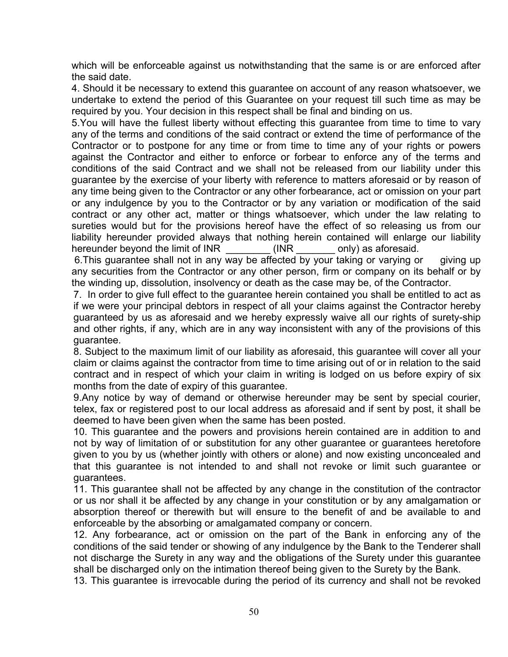which will be enforceable against us notwithstanding that the same is or are enforced after the said date.

4. Should it be necessary to extend this guarantee on account of any reason whatsoever, we undertake to extend the period of this Guarantee on your request till such time as may be required by you. Your decision in this respect shall be final and binding on us.

5.You will have the fullest liberty without effecting this guarantee from time to time to vary any of the terms and conditions of the said contract or extend the time of performance of the Contractor or to postpone for any time or from time to time any of your rights or powers against the Contractor and either to enforce or forbear to enforce any of the terms and conditions of the said Contract and we shall not be released from our liability under this guarantee by the exercise of your liberty with reference to matters aforesaid or by reason of any time being given to the Contractor or any other forbearance, act or omission on your part or any indulgence by you to the Contractor or by any variation or modification of the said contract or any other act, matter or things whatsoever, which under the law relating to sureties would but for the provisions hereof have the effect of so releasing us from our liability hereunder provided always that nothing herein contained will enlarge our liability hereunder beyond the limit of INR \_\_\_\_\_\_\_\_ (INR \_\_\_\_\_\_\_ only) as aforesaid.

6.This guarantee shall not in any way be affected by your taking or varying or giving up any securities from the Contractor or any other person, firm or company on its behalf or by the winding up, dissolution, insolvency or death as the case may be, of the Contractor.

7. In order to give full effect to the guarantee herein contained you shall be entitled to act as if we were your principal debtors in respect of all your claims against the Contractor hereby guaranteed by us as aforesaid and we hereby expressly waive all our rights of surety-ship and other rights, if any, which are in any way inconsistent with any of the provisions of this guarantee.

8. Subject to the maximum limit of our liability as aforesaid, this guarantee will cover all your claim or claims against the contractor from time to time arising out of or in relation to the said contract and in respect of which your claim in writing is lodged on us before expiry of six months from the date of expiry of this guarantee.

9.Any notice by way of demand or otherwise hereunder may be sent by special courier, telex, fax or registered post to our local address as aforesaid and if sent by post, it shall be deemed to have been given when the same has been posted.

10. This guarantee and the powers and provisions herein contained are in addition to and not by way of limitation of or substitution for any other guarantee or guarantees heretofore given to you by us (whether jointly with others or alone) and now existing unconcealed and that this guarantee is not intended to and shall not revoke or limit such guarantee or guarantees.

11. This guarantee shall not be affected by any change in the constitution of the contractor or us nor shall it be affected by any change in your constitution or by any amalgamation or absorption thereof or therewith but will ensure to the benefit of and be available to and enforceable by the absorbing or amalgamated company or concern.

12. Any forbearance, act or omission on the part of the Bank in enforcing any of the conditions of the said tender or showing of any indulgence by the Bank to the Tenderer shall not discharge the Surety in any way and the obligations of the Surety under this guarantee shall be discharged only on the intimation thereof being given to the Surety by the Bank.

13. This guarantee is irrevocable during the period of its currency and shall not be revoked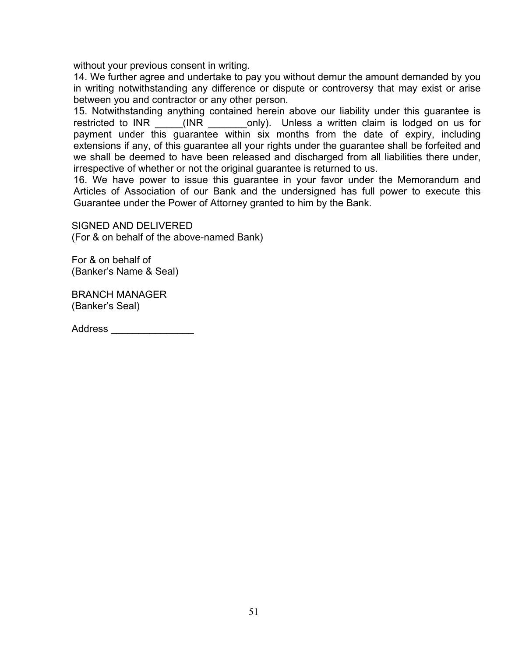without your previous consent in writing.

14. We further agree and undertake to pay you without demur the amount demanded by you in writing notwithstanding any difference or dispute or controversy that may exist or arise between you and contractor or any other person.

15. Notwithstanding anything contained herein above our liability under this guarantee is restricted to INR (INR conly). Unless a written claim is lodged on us for payment under this guarantee within six months from the date of expiry, including extensions if any, of this guarantee all your rights under the guarantee shall be forfeited and we shall be deemed to have been released and discharged from all liabilities there under, irrespective of whether or not the original guarantee is returned to us.

16. We have power to issue this guarantee in your favor under the Memorandum and Articles of Association of our Bank and the undersigned has full power to execute this Guarantee under the Power of Attorney granted to him by the Bank.

SIGNED AND DELIVERED (For & on behalf of the above-named Bank)

For & on behalf of (Banker's Name & Seal)

BRANCH MANAGER (Banker's Seal)

Address \_\_\_\_\_\_\_\_\_\_\_\_\_\_\_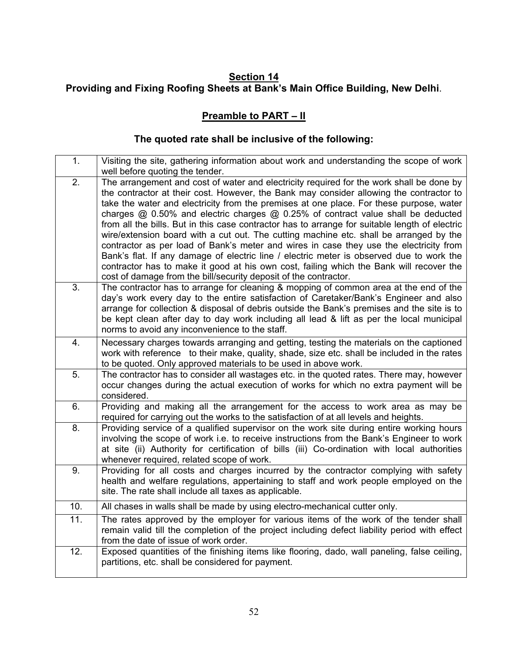### **Section 14 Providing and Fixing Roofing Sheets at Bank's Main Office Building, New Delhi**.

# **Preamble to PART – II**

# **The quoted rate shall be inclusive of the following:**

| 1.  | Visiting the site, gathering information about work and understanding the scope of work<br>well before quoting the tender.                                                                                                                                                                                                                                                                                                                                                                                                                                                                                                                                                                                                                                                                                                                                                                                              |
|-----|-------------------------------------------------------------------------------------------------------------------------------------------------------------------------------------------------------------------------------------------------------------------------------------------------------------------------------------------------------------------------------------------------------------------------------------------------------------------------------------------------------------------------------------------------------------------------------------------------------------------------------------------------------------------------------------------------------------------------------------------------------------------------------------------------------------------------------------------------------------------------------------------------------------------------|
| 2.  | The arrangement and cost of water and electricity required for the work shall be done by<br>the contractor at their cost. However, the Bank may consider allowing the contractor to<br>take the water and electricity from the premises at one place. For these purpose, water<br>charges $@$ 0.50% and electric charges $@$ 0.25% of contract value shall be deducted<br>from all the bills. But in this case contractor has to arrange for suitable length of electric<br>wire/extension board with a cut out. The cutting machine etc. shall be arranged by the<br>contractor as per load of Bank's meter and wires in case they use the electricity from<br>Bank's flat. If any damage of electric line / electric meter is observed due to work the<br>contractor has to make it good at his own cost, failing which the Bank will recover the<br>cost of damage from the bill/security deposit of the contractor. |
| 3.  | The contractor has to arrange for cleaning & mopping of common area at the end of the<br>day's work every day to the entire satisfaction of Caretaker/Bank's Engineer and also<br>arrange for collection & disposal of debris outside the Bank's premises and the site is to<br>be kept clean after day to day work including all lead & lift as per the local municipal<br>norms to avoid any inconvenience to the staff.                                                                                                                                                                                                                                                                                                                                                                                                                                                                                              |
| 4.  | Necessary charges towards arranging and getting, testing the materials on the captioned<br>work with reference to their make, quality, shade, size etc. shall be included in the rates<br>to be quoted. Only approved materials to be used in above work.                                                                                                                                                                                                                                                                                                                                                                                                                                                                                                                                                                                                                                                               |
| 5.  | The contractor has to consider all wastages etc. in the quoted rates. There may, however<br>occur changes during the actual execution of works for which no extra payment will be<br>considered.                                                                                                                                                                                                                                                                                                                                                                                                                                                                                                                                                                                                                                                                                                                        |
| 6.  | Providing and making all the arrangement for the access to work area as may be<br>required for carrying out the works to the satisfaction of at all levels and heights.                                                                                                                                                                                                                                                                                                                                                                                                                                                                                                                                                                                                                                                                                                                                                 |
| 8.  | Providing service of a qualified supervisor on the work site during entire working hours<br>involving the scope of work i.e. to receive instructions from the Bank's Engineer to work<br>at site (ii) Authority for certification of bills (iii) Co-ordination with local authorities<br>whenever required, related scope of work.                                                                                                                                                                                                                                                                                                                                                                                                                                                                                                                                                                                      |
| 9.  | Providing for all costs and charges incurred by the contractor complying with safety<br>health and welfare regulations, appertaining to staff and work people employed on the<br>site. The rate shall include all taxes as applicable.                                                                                                                                                                                                                                                                                                                                                                                                                                                                                                                                                                                                                                                                                  |
| 10. | All chases in walls shall be made by using electro-mechanical cutter only.                                                                                                                                                                                                                                                                                                                                                                                                                                                                                                                                                                                                                                                                                                                                                                                                                                              |
| 11. | The rates approved by the employer for various items of the work of the tender shall<br>remain valid till the completion of the project including defect liability period with effect<br>from the date of issue of work order.                                                                                                                                                                                                                                                                                                                                                                                                                                                                                                                                                                                                                                                                                          |
| 12. | Exposed quantities of the finishing items like flooring, dado, wall paneling, false ceiling,<br>partitions, etc. shall be considered for payment.                                                                                                                                                                                                                                                                                                                                                                                                                                                                                                                                                                                                                                                                                                                                                                       |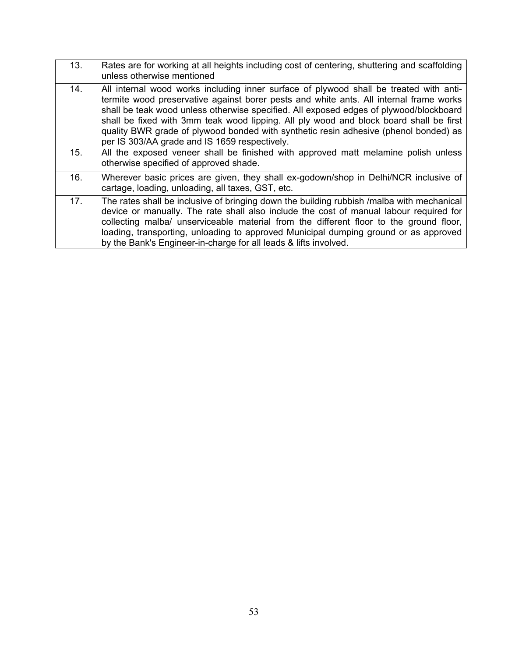| 13. | Rates are for working at all heights including cost of centering, shuttering and scaffolding<br>unless otherwise mentioned                                                                                                                                                                                                                                                                                                                                                                                    |
|-----|---------------------------------------------------------------------------------------------------------------------------------------------------------------------------------------------------------------------------------------------------------------------------------------------------------------------------------------------------------------------------------------------------------------------------------------------------------------------------------------------------------------|
| 14. | All internal wood works including inner surface of plywood shall be treated with anti-<br>termite wood preservative against borer pests and white ants. All internal frame works<br>shall be teak wood unless otherwise specified. All exposed edges of plywood/blockboard<br>shall be fixed with 3mm teak wood lipping. All ply wood and block board shall be first<br>quality BWR grade of plywood bonded with synthetic resin adhesive (phenol bonded) as<br>per IS 303/AA grade and IS 1659 respectively. |
| 15. | All the exposed veneer shall be finished with approved matt melamine polish unless<br>otherwise specified of approved shade.                                                                                                                                                                                                                                                                                                                                                                                  |
| 16. | Wherever basic prices are given, they shall ex-godown/shop in Delhi/NCR inclusive of<br>cartage, loading, unloading, all taxes, GST, etc.                                                                                                                                                                                                                                                                                                                                                                     |
| 17. | The rates shall be inclusive of bringing down the building rubbish /malba with mechanical<br>device or manually. The rate shall also include the cost of manual labour required for<br>collecting malba/ unserviceable material from the different floor to the ground floor,<br>loading, transporting, unloading to approved Municipal dumping ground or as approved<br>by the Bank's Engineer-in-charge for all leads & lifts involved.                                                                     |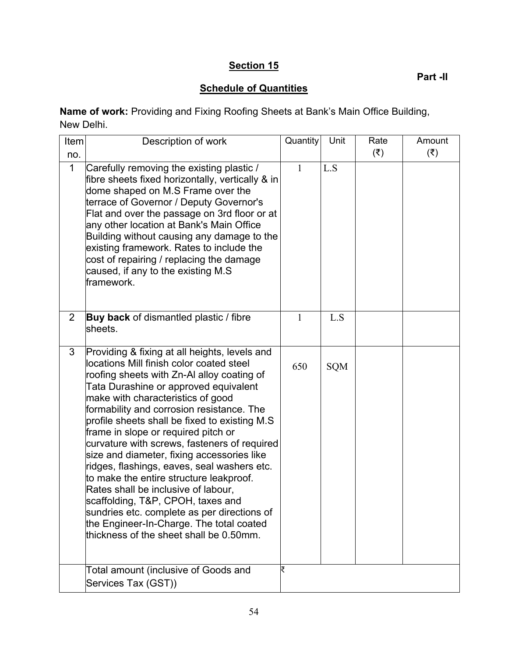# **Section 15**

**Part -II**

# **Schedule of Quantities**

**Name of work:** Providing and Fixing Roofing Sheets at Bank's Main Office Building, New Delhi.

| Item         | Description of work                                                                                                                                                                                                                                                                                                                                                                                                                                                                                                                                                                                                                                                                                                                                                  | Quantity | Unit | Rate               | Amount             |
|--------------|----------------------------------------------------------------------------------------------------------------------------------------------------------------------------------------------------------------------------------------------------------------------------------------------------------------------------------------------------------------------------------------------------------------------------------------------------------------------------------------------------------------------------------------------------------------------------------------------------------------------------------------------------------------------------------------------------------------------------------------------------------------------|----------|------|--------------------|--------------------|
| no.          |                                                                                                                                                                                                                                                                                                                                                                                                                                                                                                                                                                                                                                                                                                                                                                      |          |      | $(\overline{\xi})$ | $(\overline{\xi})$ |
| $\mathbf{1}$ | Carefully removing the existing plastic /<br>fibre sheets fixed horizontally, vertically & in<br>dome shaped on M.S Frame over the<br>terrace of Governor / Deputy Governor's<br>Flat and over the passage on 3rd floor or at<br>any other location at Bank's Main Office<br>Building without causing any damage to the<br>existing framework. Rates to include the<br>cost of repairing / replacing the damage<br>caused, if any to the existing M.S<br>framework.                                                                                                                                                                                                                                                                                                  | 1        | L.S  |                    |                    |
| 2            | Buy back of dismantled plastic / fibre<br>sheets.                                                                                                                                                                                                                                                                                                                                                                                                                                                                                                                                                                                                                                                                                                                    | 1        | L.S  |                    |                    |
| 3            | Providing & fixing at all heights, levels and<br>locations Mill finish color coated steel<br>roofing sheets with Zn-AI alloy coating of<br>Tata Durashine or approved equivalent<br>make with characteristics of good<br>formability and corrosion resistance. The<br>profile sheets shall be fixed to existing M.S<br>frame in slope or required pitch or<br>curvature with screws, fasteners of required<br>size and diameter, fixing accessories like<br>ridges, flashings, eaves, seal washers etc.<br>to make the entire structure leakproof.<br>Rates shall be inclusive of labour,<br>scaffolding, T&P, CPOH, taxes and<br>sundries etc. complete as per directions of<br>the Engineer-In-Charge. The total coated<br>thickness of the sheet shall be 0.50mm. | 650      | SQM  |                    |                    |
|              | Total amount (inclusive of Goods and<br>Services Tax (GST))                                                                                                                                                                                                                                                                                                                                                                                                                                                                                                                                                                                                                                                                                                          | ₹        |      |                    |                    |